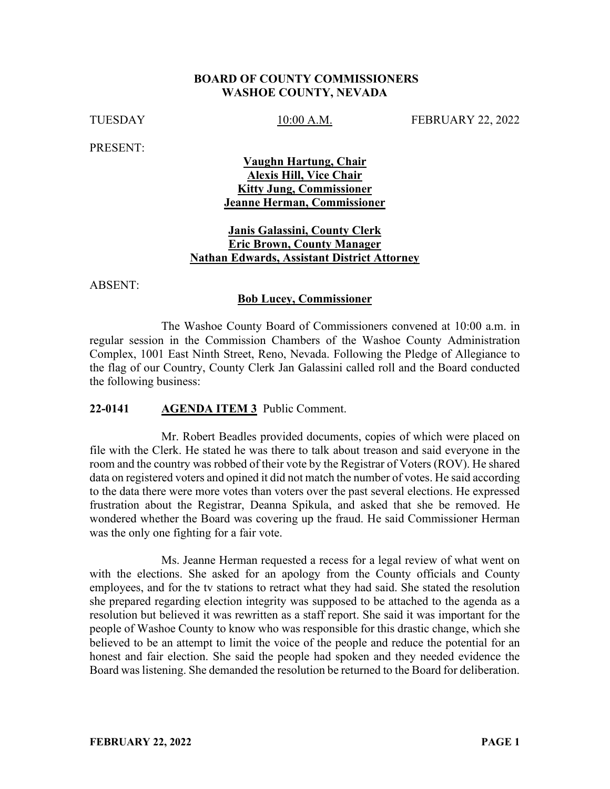#### **BOARD OF COUNTY COMMISSIONERS WASHOE COUNTY, NEVADA**

TUESDAY 10:00 A.M. FEBRUARY 22, 2022

PRESENT:

#### **Vaughn Hartung, Chair Alexis Hill, Vice Chair Kitty Jung, Commissioner Jeanne Herman, Commissioner**

#### **Janis Galassini, County Clerk Eric Brown, County Manager Nathan Edwards, Assistant District Attorney**

ABSENT:

#### **Bob Lucey, Commissioner**

The Washoe County Board of Commissioners convened at 10:00 a.m. in regular session in the Commission Chambers of the Washoe County Administration Complex, 1001 East Ninth Street, Reno, Nevada. Following the Pledge of Allegiance to the flag of our Country, County Clerk Jan Galassini called roll and the Board conducted the following business:

#### **22-0141 AGENDA ITEM 3** Public Comment.

Mr. Robert Beadles provided documents, copies of which were placed on file with the Clerk. He stated he was there to talk about treason and said everyone in the room and the country was robbed of their vote by the Registrar of Voters (ROV). He shared data on registered voters and opined it did not match the number of votes. He said according to the data there were more votes than voters over the past several elections. He expressed frustration about the Registrar, Deanna Spikula, and asked that she be removed. He wondered whether the Board was covering up the fraud. He said Commissioner Herman was the only one fighting for a fair vote.

Ms. Jeanne Herman requested a recess for a legal review of what went on with the elections. She asked for an apology from the County officials and County employees, and for the tv stations to retract what they had said. She stated the resolution she prepared regarding election integrity was supposed to be attached to the agenda as a resolution but believed it was rewritten as a staff report. She said it was important for the people of Washoe County to know who was responsible for this drastic change, which she believed to be an attempt to limit the voice of the people and reduce the potential for an honest and fair election. She said the people had spoken and they needed evidence the Board was listening. She demanded the resolution be returned to the Board for deliberation.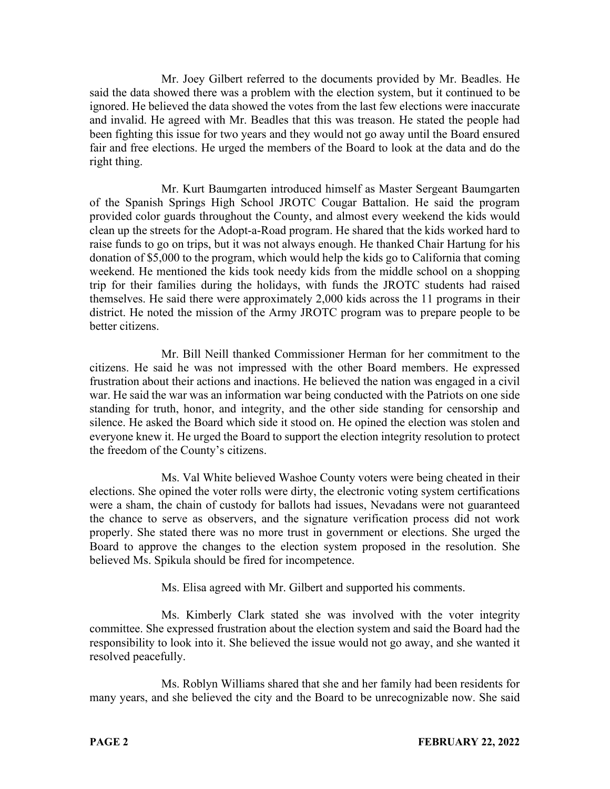Mr. Joey Gilbert referred to the documents provided by Mr. Beadles. He said the data showed there was a problem with the election system, but it continued to be ignored. He believed the data showed the votes from the last few elections were inaccurate and invalid. He agreed with Mr. Beadles that this was treason. He stated the people had been fighting this issue for two years and they would not go away until the Board ensured fair and free elections. He urged the members of the Board to look at the data and do the right thing.

Mr. Kurt Baumgarten introduced himself as Master Sergeant Baumgarten of the Spanish Springs High School JROTC Cougar Battalion. He said the program provided color guards throughout the County, and almost every weekend the kids would clean up the streets for the Adopt-a-Road program. He shared that the kids worked hard to raise funds to go on trips, but it was not always enough. He thanked Chair Hartung for his donation of \$5,000 to the program, which would help the kids go to California that coming weekend. He mentioned the kids took needy kids from the middle school on a shopping trip for their families during the holidays, with funds the JROTC students had raised themselves. He said there were approximately 2,000 kids across the 11 programs in their district. He noted the mission of the Army JROTC program was to prepare people to be better citizens.

Mr. Bill Neill thanked Commissioner Herman for her commitment to the citizens. He said he was not impressed with the other Board members. He expressed frustration about their actions and inactions. He believed the nation was engaged in a civil war. He said the war was an information war being conducted with the Patriots on one side standing for truth, honor, and integrity, and the other side standing for censorship and silence. He asked the Board which side it stood on. He opined the election was stolen and everyone knew it. He urged the Board to support the election integrity resolution to protect the freedom of the County's citizens.

Ms. Val White believed Washoe County voters were being cheated in their elections. She opined the voter rolls were dirty, the electronic voting system certifications were a sham, the chain of custody for ballots had issues, Nevadans were not guaranteed the chance to serve as observers, and the signature verification process did not work properly. She stated there was no more trust in government or elections. She urged the Board to approve the changes to the election system proposed in the resolution. She believed Ms. Spikula should be fired for incompetence.

Ms. Elisa agreed with Mr. Gilbert and supported his comments.

Ms. Kimberly Clark stated she was involved with the voter integrity committee. She expressed frustration about the election system and said the Board had the responsibility to look into it. She believed the issue would not go away, and she wanted it resolved peacefully.

Ms. Roblyn Williams shared that she and her family had been residents for many years, and she believed the city and the Board to be unrecognizable now. She said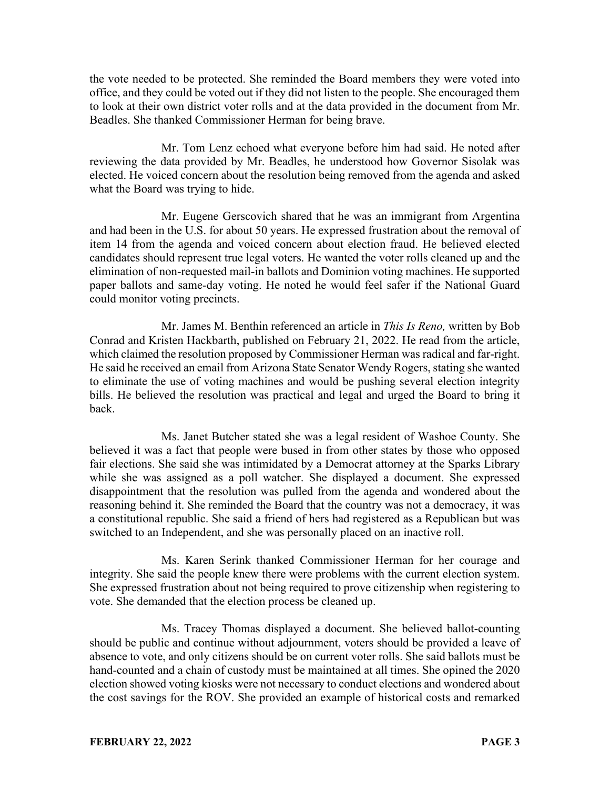the vote needed to be protected. She reminded the Board members they were voted into office, and they could be voted out if they did not listen to the people. She encouraged them to look at their own district voter rolls and at the data provided in the document from Mr. Beadles. She thanked Commissioner Herman for being brave.

Mr. Tom Lenz echoed what everyone before him had said. He noted after reviewing the data provided by Mr. Beadles, he understood how Governor Sisolak was elected. He voiced concern about the resolution being removed from the agenda and asked what the Board was trying to hide.

Mr. Eugene Gerscovich shared that he was an immigrant from Argentina and had been in the U.S. for about 50 years. He expressed frustration about the removal of item 14 from the agenda and voiced concern about election fraud. He believed elected candidates should represent true legal voters. He wanted the voter rolls cleaned up and the elimination of non-requested mail-in ballots and Dominion voting machines. He supported paper ballots and same-day voting. He noted he would feel safer if the National Guard could monitor voting precincts.

Mr. James M. Benthin referenced an article in *This Is Reno,* written by Bob Conrad and Kristen Hackbarth, published on February 21, 2022. He read from the article, which claimed the resolution proposed by Commissioner Herman was radical and far-right. He said he received an email from Arizona State Senator Wendy Rogers, stating she wanted to eliminate the use of voting machines and would be pushing several election integrity bills. He believed the resolution was practical and legal and urged the Board to bring it back.

Ms. Janet Butcher stated she was a legal resident of Washoe County. She believed it was a fact that people were bused in from other states by those who opposed fair elections. She said she was intimidated by a Democrat attorney at the Sparks Library while she was assigned as a poll watcher. She displayed a document. She expressed disappointment that the resolution was pulled from the agenda and wondered about the reasoning behind it. She reminded the Board that the country was not a democracy, it was a constitutional republic. She said a friend of hers had registered as a Republican but was switched to an Independent, and she was personally placed on an inactive roll.

Ms. Karen Serink thanked Commissioner Herman for her courage and integrity. She said the people knew there were problems with the current election system. She expressed frustration about not being required to prove citizenship when registering to vote. She demanded that the election process be cleaned up.

Ms. Tracey Thomas displayed a document. She believed ballot-counting should be public and continue without adjournment, voters should be provided a leave of absence to vote, and only citizens should be on current voter rolls. She said ballots must be hand-counted and a chain of custody must be maintained at all times. She opined the 2020 election showed voting kiosks were not necessary to conduct elections and wondered about the cost savings for the ROV. She provided an example of historical costs and remarked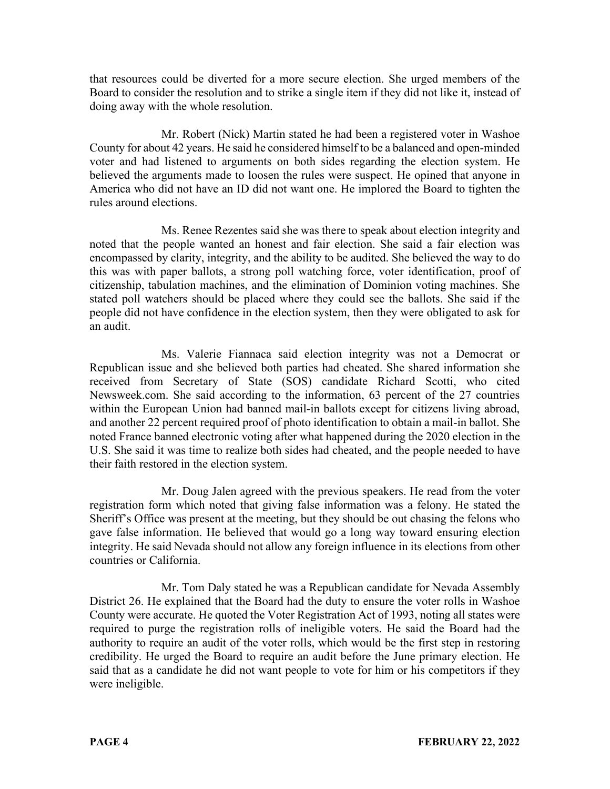that resources could be diverted for a more secure election. She urged members of the Board to consider the resolution and to strike a single item if they did not like it, instead of doing away with the whole resolution.

Mr. Robert (Nick) Martin stated he had been a registered voter in Washoe County for about 42 years. He said he considered himself to be a balanced and open-minded voter and had listened to arguments on both sides regarding the election system. He believed the arguments made to loosen the rules were suspect. He opined that anyone in America who did not have an ID did not want one. He implored the Board to tighten the rules around elections.

Ms. Renee Rezentes said she was there to speak about election integrity and noted that the people wanted an honest and fair election. She said a fair election was encompassed by clarity, integrity, and the ability to be audited. She believed the way to do this was with paper ballots, a strong poll watching force, voter identification, proof of citizenship, tabulation machines, and the elimination of Dominion voting machines. She stated poll watchers should be placed where they could see the ballots. She said if the people did not have confidence in the election system, then they were obligated to ask for an audit.

Ms. Valerie Fiannaca said election integrity was not a Democrat or Republican issue and she believed both parties had cheated. She shared information she received from Secretary of State (SOS) candidate Richard Scotti, who cited Newsweek.com. She said according to the information, 63 percent of the 27 countries within the European Union had banned mail-in ballots except for citizens living abroad, and another 22 percent required proof of photo identification to obtain a mail-in ballot. She noted France banned electronic voting after what happened during the 2020 election in the U.S. She said it was time to realize both sides had cheated, and the people needed to have their faith restored in the election system.

Mr. Doug Jalen agreed with the previous speakers. He read from the voter registration form which noted that giving false information was a felony. He stated the Sheriff's Office was present at the meeting, but they should be out chasing the felons who gave false information. He believed that would go a long way toward ensuring election integrity. He said Nevada should not allow any foreign influence in its elections from other countries or California.

Mr. Tom Daly stated he was a Republican candidate for Nevada Assembly District 26. He explained that the Board had the duty to ensure the voter rolls in Washoe County were accurate. He quoted the Voter Registration Act of 1993, noting all states were required to purge the registration rolls of ineligible voters. He said the Board had the authority to require an audit of the voter rolls, which would be the first step in restoring credibility. He urged the Board to require an audit before the June primary election. He said that as a candidate he did not want people to vote for him or his competitors if they were ineligible.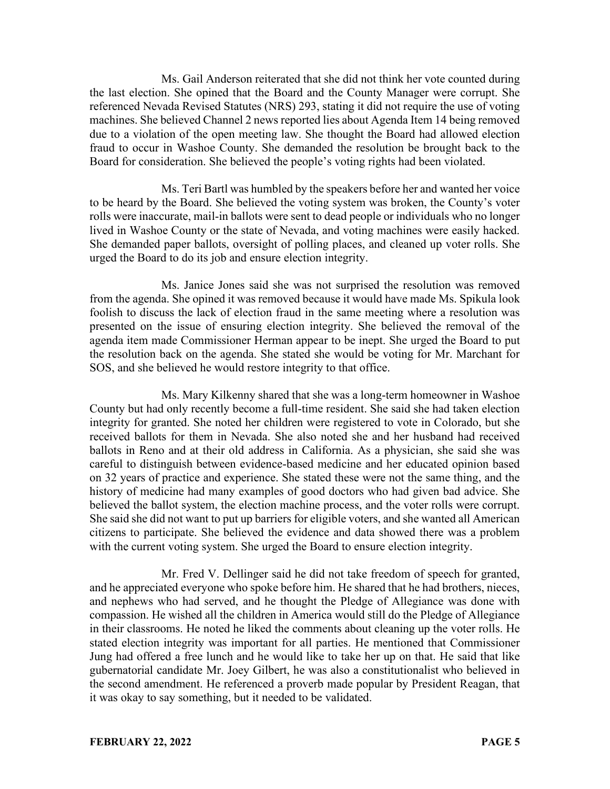Ms. Gail Anderson reiterated that she did not think her vote counted during the last election. She opined that the Board and the County Manager were corrupt. She referenced Nevada Revised Statutes (NRS) 293, stating it did not require the use of voting machines. She believed Channel 2 news reported lies about Agenda Item 14 being removed due to a violation of the open meeting law. She thought the Board had allowed election fraud to occur in Washoe County. She demanded the resolution be brought back to the Board for consideration. She believed the people's voting rights had been violated.

Ms. Teri Bartl was humbled by the speakers before her and wanted her voice to be heard by the Board. She believed the voting system was broken, the County's voter rolls were inaccurate, mail-in ballots were sent to dead people or individuals who no longer lived in Washoe County or the state of Nevada, and voting machines were easily hacked. She demanded paper ballots, oversight of polling places, and cleaned up voter rolls. She urged the Board to do its job and ensure election integrity.

Ms. Janice Jones said she was not surprised the resolution was removed from the agenda. She opined it was removed because it would have made Ms. Spikula look foolish to discuss the lack of election fraud in the same meeting where a resolution was presented on the issue of ensuring election integrity. She believed the removal of the agenda item made Commissioner Herman appear to be inept. She urged the Board to put the resolution back on the agenda. She stated she would be voting for Mr. Marchant for SOS, and she believed he would restore integrity to that office.

Ms. Mary Kilkenny shared that she was a long-term homeowner in Washoe County but had only recently become a full-time resident. She said she had taken election integrity for granted. She noted her children were registered to vote in Colorado, but she received ballots for them in Nevada. She also noted she and her husband had received ballots in Reno and at their old address in California. As a physician, she said she was careful to distinguish between evidence-based medicine and her educated opinion based on 32 years of practice and experience. She stated these were not the same thing, and the history of medicine had many examples of good doctors who had given bad advice. She believed the ballot system, the election machine process, and the voter rolls were corrupt. She said she did not want to put up barriers for eligible voters, and she wanted all American citizens to participate. She believed the evidence and data showed there was a problem with the current voting system. She urged the Board to ensure election integrity.

Mr. Fred V. Dellinger said he did not take freedom of speech for granted, and he appreciated everyone who spoke before him. He shared that he had brothers, nieces, and nephews who had served, and he thought the Pledge of Allegiance was done with compassion. He wished all the children in America would still do the Pledge of Allegiance in their classrooms. He noted he liked the comments about cleaning up the voter rolls. He stated election integrity was important for all parties. He mentioned that Commissioner Jung had offered a free lunch and he would like to take her up on that. He said that like gubernatorial candidate Mr. Joey Gilbert, he was also a constitutionalist who believed in the second amendment. He referenced a proverb made popular by President Reagan, that it was okay to say something, but it needed to be validated.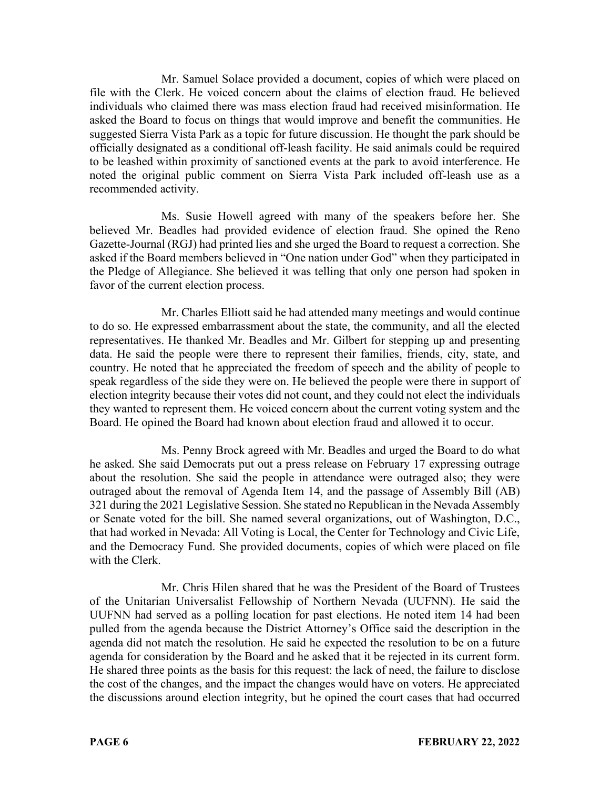Mr. Samuel Solace provided a document, copies of which were placed on file with the Clerk. He voiced concern about the claims of election fraud. He believed individuals who claimed there was mass election fraud had received misinformation. He asked the Board to focus on things that would improve and benefit the communities. He suggested Sierra Vista Park as a topic for future discussion. He thought the park should be officially designated as a conditional off-leash facility. He said animals could be required to be leashed within proximity of sanctioned events at the park to avoid interference. He noted the original public comment on Sierra Vista Park included off-leash use as a recommended activity.

Ms. Susie Howell agreed with many of the speakers before her. She believed Mr. Beadles had provided evidence of election fraud. She opined the Reno Gazette-Journal (RGJ) had printed lies and she urged the Board to request a correction. She asked if the Board members believed in "One nation under God" when they participated in the Pledge of Allegiance. She believed it was telling that only one person had spoken in favor of the current election process.

Mr. Charles Elliott said he had attended many meetings and would continue to do so. He expressed embarrassment about the state, the community, and all the elected representatives. He thanked Mr. Beadles and Mr. Gilbert for stepping up and presenting data. He said the people were there to represent their families, friends, city, state, and country. He noted that he appreciated the freedom of speech and the ability of people to speak regardless of the side they were on. He believed the people were there in support of election integrity because their votes did not count, and they could not elect the individuals they wanted to represent them. He voiced concern about the current voting system and the Board. He opined the Board had known about election fraud and allowed it to occur.

Ms. Penny Brock agreed with Mr. Beadles and urged the Board to do what he asked. She said Democrats put out a press release on February 17 expressing outrage about the resolution. She said the people in attendance were outraged also; they were outraged about the removal of Agenda Item 14, and the passage of Assembly Bill (AB) 321 during the 2021 Legislative Session. She stated no Republican in the Nevada Assembly or Senate voted for the bill. She named several organizations, out of Washington, D.C., that had worked in Nevada: All Voting is Local, the Center for Technology and Civic Life, and the Democracy Fund. She provided documents, copies of which were placed on file with the Clerk.

Mr. Chris Hilen shared that he was the President of the Board of Trustees of the Unitarian Universalist Fellowship of Northern Nevada (UUFNN). He said the UUFNN had served as a polling location for past elections. He noted item 14 had been pulled from the agenda because the District Attorney's Office said the description in the agenda did not match the resolution. He said he expected the resolution to be on a future agenda for consideration by the Board and he asked that it be rejected in its current form. He shared three points as the basis for this request: the lack of need, the failure to disclose the cost of the changes, and the impact the changes would have on voters. He appreciated the discussions around election integrity, but he opined the court cases that had occurred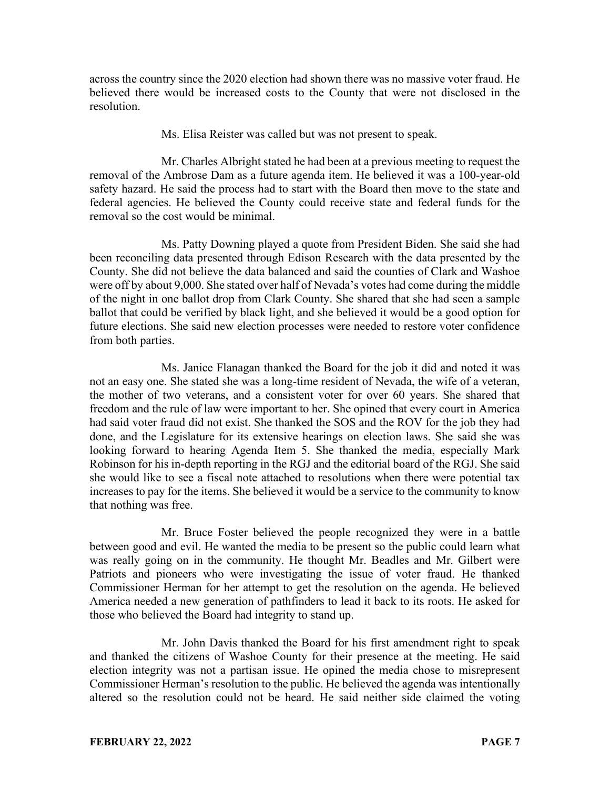across the country since the 2020 election had shown there was no massive voter fraud. He believed there would be increased costs to the County that were not disclosed in the resolution.

Ms. Elisa Reister was called but was not present to speak.

Mr. Charles Albright stated he had been at a previous meeting to request the removal of the Ambrose Dam as a future agenda item. He believed it was a 100-year-old safety hazard. He said the process had to start with the Board then move to the state and federal agencies. He believed the County could receive state and federal funds for the removal so the cost would be minimal.

Ms. Patty Downing played a quote from President Biden. She said she had been reconciling data presented through Edison Research with the data presented by the County. She did not believe the data balanced and said the counties of Clark and Washoe were off by about 9,000. She stated over half of Nevada's votes had come during the middle of the night in one ballot drop from Clark County. She shared that she had seen a sample ballot that could be verified by black light, and she believed it would be a good option for future elections. She said new election processes were needed to restore voter confidence from both parties.

Ms. Janice Flanagan thanked the Board for the job it did and noted it was not an easy one. She stated she was a long-time resident of Nevada, the wife of a veteran, the mother of two veterans, and a consistent voter for over 60 years. She shared that freedom and the rule of law were important to her. She opined that every court in America had said voter fraud did not exist. She thanked the SOS and the ROV for the job they had done, and the Legislature for its extensive hearings on election laws. She said she was looking forward to hearing Agenda Item 5. She thanked the media, especially Mark Robinson for his in-depth reporting in the RGJ and the editorial board of the RGJ. She said she would like to see a fiscal note attached to resolutions when there were potential tax increases to pay for the items. She believed it would be a service to the community to know that nothing was free.

Mr. Bruce Foster believed the people recognized they were in a battle between good and evil. He wanted the media to be present so the public could learn what was really going on in the community. He thought Mr. Beadles and Mr. Gilbert were Patriots and pioneers who were investigating the issue of voter fraud. He thanked Commissioner Herman for her attempt to get the resolution on the agenda. He believed America needed a new generation of pathfinders to lead it back to its roots. He asked for those who believed the Board had integrity to stand up.

Mr. John Davis thanked the Board for his first amendment right to speak and thanked the citizens of Washoe County for their presence at the meeting. He said election integrity was not a partisan issue. He opined the media chose to misrepresent Commissioner Herman's resolution to the public. He believed the agenda was intentionally altered so the resolution could not be heard. He said neither side claimed the voting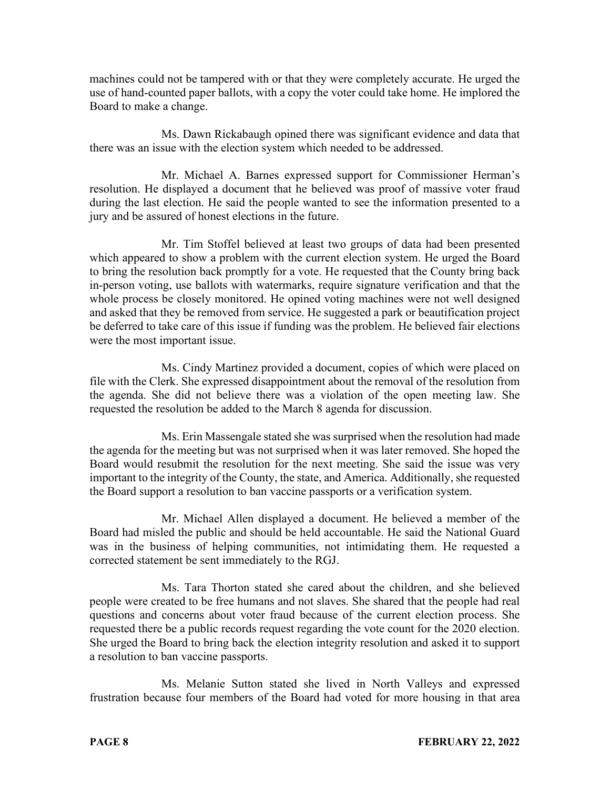machines could not be tampered with or that they were completely accurate. He urged the use of hand-counted paper ballots, with a copy the voter could take home. He implored the Board to make a change.

Ms. Dawn Rickabaugh opined there was significant evidence and data that there was an issue with the election system which needed to be addressed.

Mr. Michael A. Barnes expressed support for Commissioner Herman's resolution. He displayed a document that he believed was proof of massive voter fraud during the last election. He said the people wanted to see the information presented to a jury and be assured of honest elections in the future.

Mr. Tim Stoffel believed at least two groups of data had been presented which appeared to show a problem with the current election system. He urged the Board to bring the resolution back promptly for a vote. He requested that the County bring back in-person voting, use ballots with watermarks, require signature verification and that the whole process be closely monitored. He opined voting machines were not well designed and asked that they be removed from service. He suggested a park or beautification project be deferred to take care of this issue if funding was the problem. He believed fair elections were the most important issue.

Ms. Cindy Martinez provided a document, copies of which were placed on file with the Clerk. She expressed disappointment about the removal of the resolution from the agenda. She did not believe there was a violation of the open meeting law. She requested the resolution be added to the March 8 agenda for discussion.

Ms. Erin Massengale stated she was surprised when the resolution had made the agenda for the meeting but was not surprised when it was later removed. She hoped the Board would resubmit the resolution for the next meeting. She said the issue was very important to the integrity of the County, the state, and America. Additionally, she requested the Board support a resolution to ban vaccine passports or a verification system.

Mr. Michael Allen displayed a document. He believed a member of the Board had misled the public and should be held accountable. He said the National Guard was in the business of helping communities, not intimidating them. He requested a corrected statement be sent immediately to the RGJ.

Ms. Tara Thorton stated she cared about the children, and she believed people were created to be free humans and not slaves. She shared that the people had real questions and concerns about voter fraud because of the current election process. She requested there be a public records request regarding the vote count for the 2020 election. She urged the Board to bring back the election integrity resolution and asked it to support a resolution to ban vaccine passports.

Ms. Melanie Sutton stated she lived in North Valleys and expressed frustration because four members of the Board had voted for more housing in that area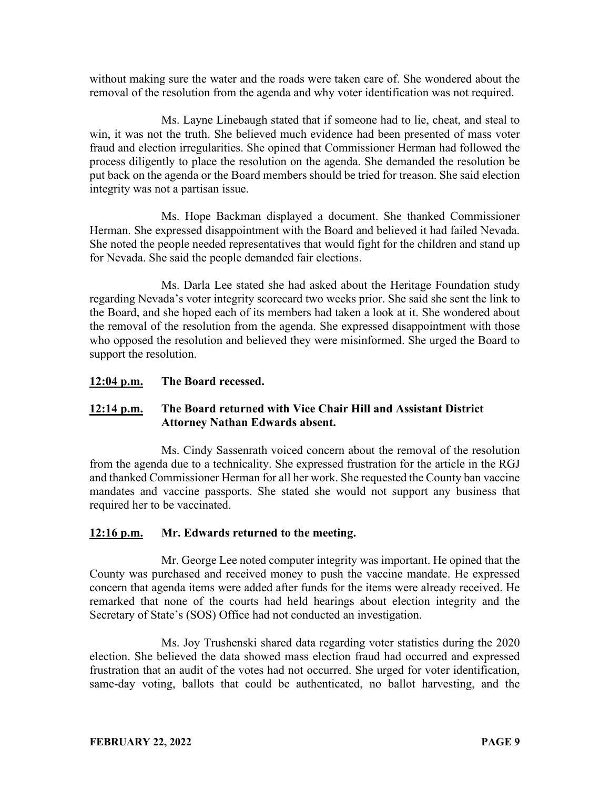without making sure the water and the roads were taken care of. She wondered about the removal of the resolution from the agenda and why voter identification was not required.

Ms. Layne Linebaugh stated that if someone had to lie, cheat, and steal to win, it was not the truth. She believed much evidence had been presented of mass voter fraud and election irregularities. She opined that Commissioner Herman had followed the process diligently to place the resolution on the agenda. She demanded the resolution be put back on the agenda or the Board members should be tried for treason. She said election integrity was not a partisan issue.

Ms. Hope Backman displayed a document. She thanked Commissioner Herman. She expressed disappointment with the Board and believed it had failed Nevada. She noted the people needed representatives that would fight for the children and stand up for Nevada. She said the people demanded fair elections.

Ms. Darla Lee stated she had asked about the Heritage Foundation study regarding Nevada's voter integrity scorecard two weeks prior. She said she sent the link to the Board, and she hoped each of its members had taken a look at it. She wondered about the removal of the resolution from the agenda. She expressed disappointment with those who opposed the resolution and believed they were misinformed. She urged the Board to support the resolution.

# **12:04 p.m. The Board recessed.**

# **12:14 p.m. The Board returned with Vice Chair Hill and Assistant District Attorney Nathan Edwards absent.**

Ms. Cindy Sassenrath voiced concern about the removal of the resolution from the agenda due to a technicality. She expressed frustration for the article in the RGJ and thanked Commissioner Herman for all her work. She requested the County ban vaccine mandates and vaccine passports. She stated she would not support any business that required her to be vaccinated.

# **12:16 p.m. Mr. Edwards returned to the meeting.**

Mr. George Lee noted computer integrity was important. He opined that the County was purchased and received money to push the vaccine mandate. He expressed concern that agenda items were added after funds for the items were already received. He remarked that none of the courts had held hearings about election integrity and the Secretary of State's (SOS) Office had not conducted an investigation.

Ms. Joy Trushenski shared data regarding voter statistics during the 2020 election. She believed the data showed mass election fraud had occurred and expressed frustration that an audit of the votes had not occurred. She urged for voter identification, same-day voting, ballots that could be authenticated, no ballot harvesting, and the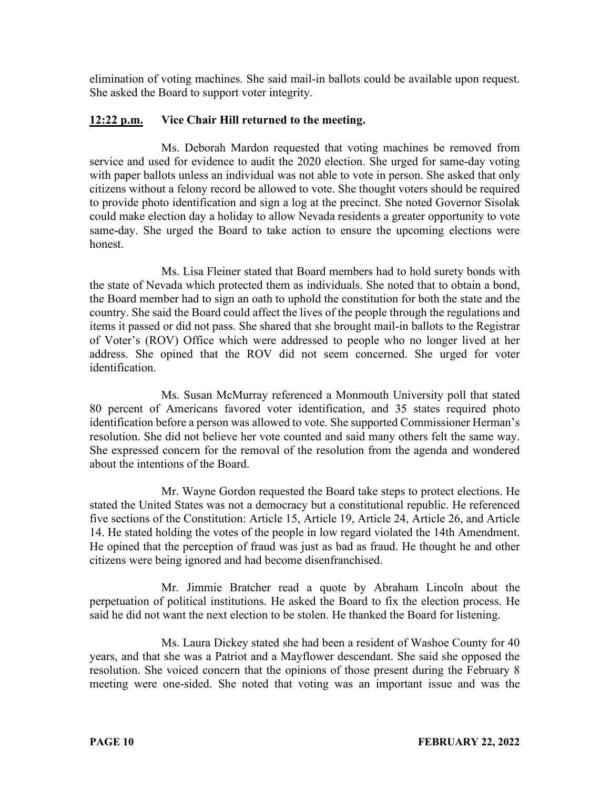elimination of voting machines. She said mail-in ballots could be available upon request. She asked the Board to support voter integrity.

# **12:22 p.m. Vice Chair Hill returned to the meeting.**

Ms. Deborah Mardon requested that voting machines be removed from service and used for evidence to audit the 2020 election. She urged for same-day voting with paper ballots unless an individual was not able to vote in person. She asked that only citizens without a felony record be allowed to vote. She thought voters should be required to provide photo identification and sign a log at the precinct. She noted Governor Sisolak could make election day a holiday to allow Nevada residents a greater opportunity to vote same-day. She urged the Board to take action to ensure the upcoming elections were honest.

Ms. Lisa Fleiner stated that Board members had to hold surety bonds with the state of Nevada which protected them as individuals. She noted that to obtain a bond, the Board member had to sign an oath to uphold the constitution for both the state and the country. She said the Board could affect the lives of the people through the regulations and items it passed or did not pass. She shared that she brought mail-in ballots to the Registrar of Voter's (ROV) Office which were addressed to people who no longer lived at her address. She opined that the ROV did not seem concerned. She urged for voter identification.

Ms. Susan McMurray referenced a Monmouth University poll that stated 80 percent of Americans favored voter identification, and 35 states required photo identification before a person was allowed to vote. She supported Commissioner Herman's resolution. She did not believe her vote counted and said many others felt the same way. She expressed concern for the removal of the resolution from the agenda and wondered about the intentions of the Board.

Mr. Wayne Gordon requested the Board take steps to protect elections. He stated the United States was not a democracy but a constitutional republic. He referenced five sections of the Constitution: Article 15, Article 19, Article 24, Article 26, and Article 14. He stated holding the votes of the people in low regard violated the 14th Amendment. He opined that the perception of fraud was just as bad as fraud. He thought he and other citizens were being ignored and had become disenfranchised.

Mr. Jimmie Bratcher read a quote by Abraham Lincoln about the perpetuation of political institutions. He asked the Board to fix the election process. He said he did not want the next election to be stolen. He thanked the Board for listening.

Ms. Laura Dickey stated she had been a resident of Washoe County for 40 years, and that she was a Patriot and a Mayflower descendant. She said she opposed the resolution. She voiced concern that the opinions of those present during the February 8 meeting were one-sided. She noted that voting was an important issue and was the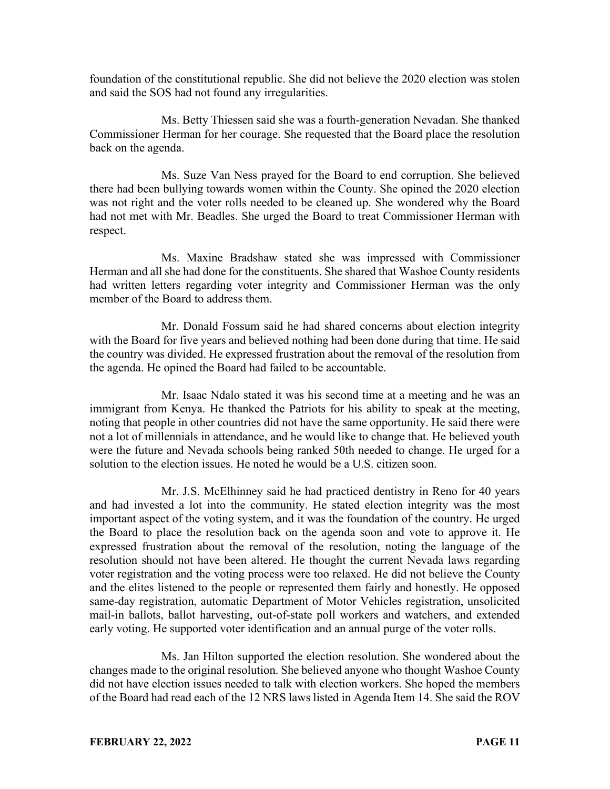foundation of the constitutional republic. She did not believe the 2020 election was stolen and said the SOS had not found any irregularities.

Ms. Betty Thiessen said she was a fourth-generation Nevadan. She thanked Commissioner Herman for her courage. She requested that the Board place the resolution back on the agenda.

Ms. Suze Van Ness prayed for the Board to end corruption. She believed there had been bullying towards women within the County. She opined the 2020 election was not right and the voter rolls needed to be cleaned up. She wondered why the Board had not met with Mr. Beadles. She urged the Board to treat Commissioner Herman with respect.

Ms. Maxine Bradshaw stated she was impressed with Commissioner Herman and all she had done for the constituents. She shared that Washoe County residents had written letters regarding voter integrity and Commissioner Herman was the only member of the Board to address them.

Mr. Donald Fossum said he had shared concerns about election integrity with the Board for five years and believed nothing had been done during that time. He said the country was divided. He expressed frustration about the removal of the resolution from the agenda. He opined the Board had failed to be accountable.

Mr. Isaac Ndalo stated it was his second time at a meeting and he was an immigrant from Kenya. He thanked the Patriots for his ability to speak at the meeting, noting that people in other countries did not have the same opportunity. He said there were not a lot of millennials in attendance, and he would like to change that. He believed youth were the future and Nevada schools being ranked 50th needed to change. He urged for a solution to the election issues. He noted he would be a U.S. citizen soon.

Mr. J.S. McElhinney said he had practiced dentistry in Reno for 40 years and had invested a lot into the community. He stated election integrity was the most important aspect of the voting system, and it was the foundation of the country. He urged the Board to place the resolution back on the agenda soon and vote to approve it. He expressed frustration about the removal of the resolution, noting the language of the resolution should not have been altered. He thought the current Nevada laws regarding voter registration and the voting process were too relaxed. He did not believe the County and the elites listened to the people or represented them fairly and honestly. He opposed same-day registration, automatic Department of Motor Vehicles registration, unsolicited mail-in ballots, ballot harvesting, out-of-state poll workers and watchers, and extended early voting. He supported voter identification and an annual purge of the voter rolls.

Ms. Jan Hilton supported the election resolution. She wondered about the changes made to the original resolution. She believed anyone who thought Washoe County did not have election issues needed to talk with election workers. She hoped the members of the Board had read each of the 12 NRS laws listed in Agenda Item 14. She said the ROV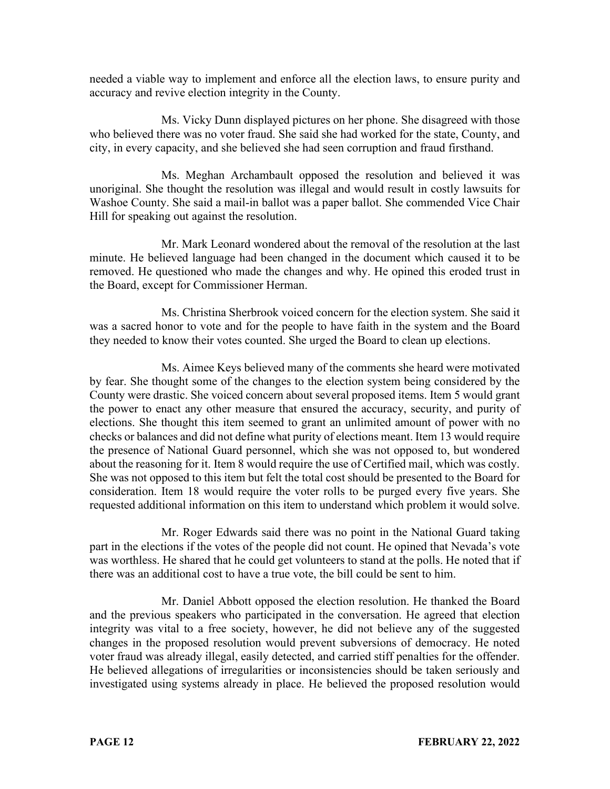needed a viable way to implement and enforce all the election laws, to ensure purity and accuracy and revive election integrity in the County.

Ms. Vicky Dunn displayed pictures on her phone. She disagreed with those who believed there was no voter fraud. She said she had worked for the state, County, and city, in every capacity, and she believed she had seen corruption and fraud firsthand.

Ms. Meghan Archambault opposed the resolution and believed it was unoriginal. She thought the resolution was illegal and would result in costly lawsuits for Washoe County. She said a mail-in ballot was a paper ballot. She commended Vice Chair Hill for speaking out against the resolution.

Mr. Mark Leonard wondered about the removal of the resolution at the last minute. He believed language had been changed in the document which caused it to be removed. He questioned who made the changes and why. He opined this eroded trust in the Board, except for Commissioner Herman.

Ms. Christina Sherbrook voiced concern for the election system. She said it was a sacred honor to vote and for the people to have faith in the system and the Board they needed to know their votes counted. She urged the Board to clean up elections.

Ms. Aimee Keys believed many of the comments she heard were motivated by fear. She thought some of the changes to the election system being considered by the County were drastic. She voiced concern about several proposed items. Item 5 would grant the power to enact any other measure that ensured the accuracy, security, and purity of elections. She thought this item seemed to grant an unlimited amount of power with no checks or balances and did not define what purity of elections meant. Item 13 would require the presence of National Guard personnel, which she was not opposed to, but wondered about the reasoning for it. Item 8 would require the use of Certified mail, which was costly. She was not opposed to this item but felt the total cost should be presented to the Board for consideration. Item 18 would require the voter rolls to be purged every five years. She requested additional information on this item to understand which problem it would solve.

Mr. Roger Edwards said there was no point in the National Guard taking part in the elections if the votes of the people did not count. He opined that Nevada's vote was worthless. He shared that he could get volunteers to stand at the polls. He noted that if there was an additional cost to have a true vote, the bill could be sent to him.

Mr. Daniel Abbott opposed the election resolution. He thanked the Board and the previous speakers who participated in the conversation. He agreed that election integrity was vital to a free society, however, he did not believe any of the suggested changes in the proposed resolution would prevent subversions of democracy. He noted voter fraud was already illegal, easily detected, and carried stiff penalties for the offender. He believed allegations of irregularities or inconsistencies should be taken seriously and investigated using systems already in place. He believed the proposed resolution would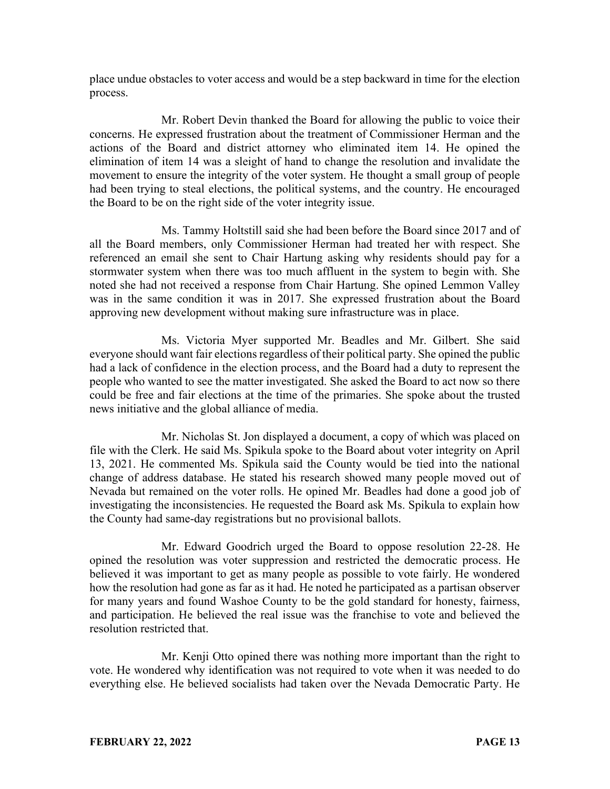place undue obstacles to voter access and would be a step backward in time for the election process.

Mr. Robert Devin thanked the Board for allowing the public to voice their concerns. He expressed frustration about the treatment of Commissioner Herman and the actions of the Board and district attorney who eliminated item 14. He opined the elimination of item 14 was a sleight of hand to change the resolution and invalidate the movement to ensure the integrity of the voter system. He thought a small group of people had been trying to steal elections, the political systems, and the country. He encouraged the Board to be on the right side of the voter integrity issue.

Ms. Tammy Holtstill said she had been before the Board since 2017 and of all the Board members, only Commissioner Herman had treated her with respect. She referenced an email she sent to Chair Hartung asking why residents should pay for a stormwater system when there was too much affluent in the system to begin with. She noted she had not received a response from Chair Hartung. She opined Lemmon Valley was in the same condition it was in 2017. She expressed frustration about the Board approving new development without making sure infrastructure was in place.

Ms. Victoria Myer supported Mr. Beadles and Mr. Gilbert. She said everyone should want fair elections regardless of their political party. She opined the public had a lack of confidence in the election process, and the Board had a duty to represent the people who wanted to see the matter investigated. She asked the Board to act now so there could be free and fair elections at the time of the primaries. She spoke about the trusted news initiative and the global alliance of media.

Mr. Nicholas St. Jon displayed a document, a copy of which was placed on file with the Clerk. He said Ms. Spikula spoke to the Board about voter integrity on April 13, 2021. He commented Ms. Spikula said the County would be tied into the national change of address database. He stated his research showed many people moved out of Nevada but remained on the voter rolls. He opined Mr. Beadles had done a good job of investigating the inconsistencies. He requested the Board ask Ms. Spikula to explain how the County had same-day registrations but no provisional ballots.

Mr. Edward Goodrich urged the Board to oppose resolution 22-28. He opined the resolution was voter suppression and restricted the democratic process. He believed it was important to get as many people as possible to vote fairly. He wondered how the resolution had gone as far as it had. He noted he participated as a partisan observer for many years and found Washoe County to be the gold standard for honesty, fairness, and participation. He believed the real issue was the franchise to vote and believed the resolution restricted that.

Mr. Kenji Otto opined there was nothing more important than the right to vote. He wondered why identification was not required to vote when it was needed to do everything else. He believed socialists had taken over the Nevada Democratic Party. He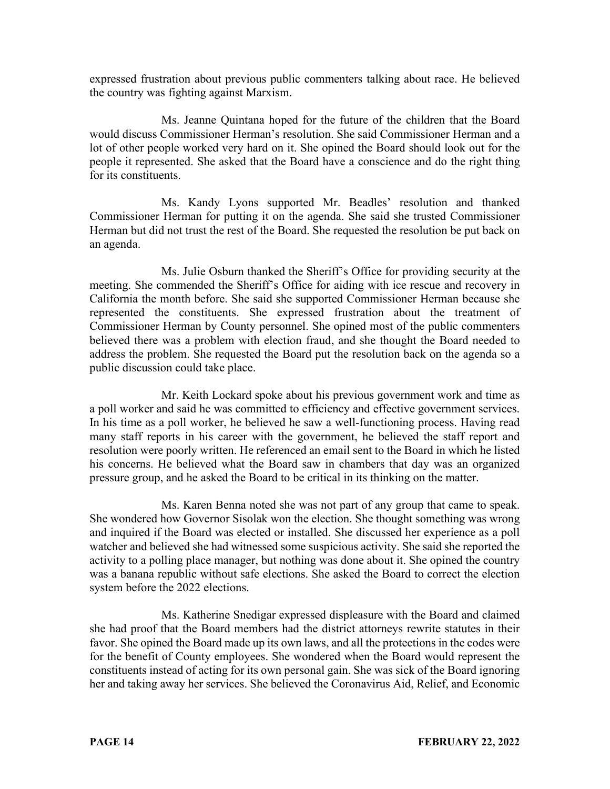expressed frustration about previous public commenters talking about race. He believed the country was fighting against Marxism.

Ms. Jeanne Quintana hoped for the future of the children that the Board would discuss Commissioner Herman's resolution. She said Commissioner Herman and a lot of other people worked very hard on it. She opined the Board should look out for the people it represented. She asked that the Board have a conscience and do the right thing for its constituents.

Ms. Kandy Lyons supported Mr. Beadles' resolution and thanked Commissioner Herman for putting it on the agenda. She said she trusted Commissioner Herman but did not trust the rest of the Board. She requested the resolution be put back on an agenda.

Ms. Julie Osburn thanked the Sheriff's Office for providing security at the meeting. She commended the Sheriff's Office for aiding with ice rescue and recovery in California the month before. She said she supported Commissioner Herman because she represented the constituents. She expressed frustration about the treatment of Commissioner Herman by County personnel. She opined most of the public commenters believed there was a problem with election fraud, and she thought the Board needed to address the problem. She requested the Board put the resolution back on the agenda so a public discussion could take place.

Mr. Keith Lockard spoke about his previous government work and time as a poll worker and said he was committed to efficiency and effective government services. In his time as a poll worker, he believed he saw a well-functioning process. Having read many staff reports in his career with the government, he believed the staff report and resolution were poorly written. He referenced an email sent to the Board in which he listed his concerns. He believed what the Board saw in chambers that day was an organized pressure group, and he asked the Board to be critical in its thinking on the matter.

Ms. Karen Benna noted she was not part of any group that came to speak. She wondered how Governor Sisolak won the election. She thought something was wrong and inquired if the Board was elected or installed. She discussed her experience as a poll watcher and believed she had witnessed some suspicious activity. She said she reported the activity to a polling place manager, but nothing was done about it. She opined the country was a banana republic without safe elections. She asked the Board to correct the election system before the 2022 elections.

Ms. Katherine Snedigar expressed displeasure with the Board and claimed she had proof that the Board members had the district attorneys rewrite statutes in their favor. She opined the Board made up its own laws, and all the protections in the codes were for the benefit of County employees. She wondered when the Board would represent the constituents instead of acting for its own personal gain. She was sick of the Board ignoring her and taking away her services. She believed the Coronavirus Aid, Relief, and Economic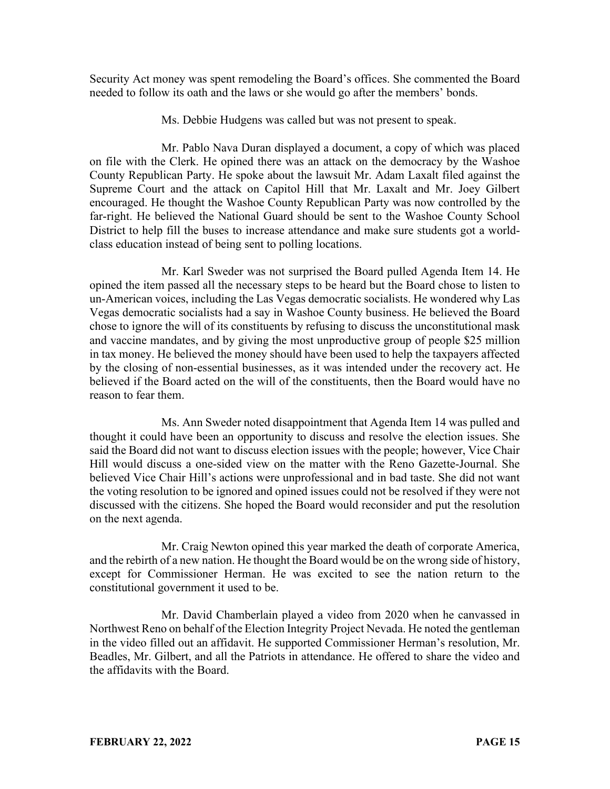Security Act money was spent remodeling the Board's offices. She commented the Board needed to follow its oath and the laws or she would go after the members' bonds.

Ms. Debbie Hudgens was called but was not present to speak.

Mr. Pablo Nava Duran displayed a document, a copy of which was placed on file with the Clerk. He opined there was an attack on the democracy by the Washoe County Republican Party. He spoke about the lawsuit Mr. Adam Laxalt filed against the Supreme Court and the attack on Capitol Hill that Mr. Laxalt and Mr. Joey Gilbert encouraged. He thought the Washoe County Republican Party was now controlled by the far-right. He believed the National Guard should be sent to the Washoe County School District to help fill the buses to increase attendance and make sure students got a worldclass education instead of being sent to polling locations.

Mr. Karl Sweder was not surprised the Board pulled Agenda Item 14. He opined the item passed all the necessary steps to be heard but the Board chose to listen to un-American voices, including the Las Vegas democratic socialists. He wondered why Las Vegas democratic socialists had a say in Washoe County business. He believed the Board chose to ignore the will of its constituents by refusing to discuss the unconstitutional mask and vaccine mandates, and by giving the most unproductive group of people \$25 million in tax money. He believed the money should have been used to help the taxpayers affected by the closing of non-essential businesses, as it was intended under the recovery act. He believed if the Board acted on the will of the constituents, then the Board would have no reason to fear them.

Ms. Ann Sweder noted disappointment that Agenda Item 14 was pulled and thought it could have been an opportunity to discuss and resolve the election issues. She said the Board did not want to discuss election issues with the people; however, Vice Chair Hill would discuss a one-sided view on the matter with the Reno Gazette-Journal. She believed Vice Chair Hill's actions were unprofessional and in bad taste. She did not want the voting resolution to be ignored and opined issues could not be resolved if they were not discussed with the citizens. She hoped the Board would reconsider and put the resolution on the next agenda.

Mr. Craig Newton opined this year marked the death of corporate America, and the rebirth of a new nation. He thought the Board would be on the wrong side of history, except for Commissioner Herman. He was excited to see the nation return to the constitutional government it used to be.

Mr. David Chamberlain played a video from 2020 when he canvassed in Northwest Reno on behalf of the Election Integrity Project Nevada. He noted the gentleman in the video filled out an affidavit. He supported Commissioner Herman's resolution, Mr. Beadles, Mr. Gilbert, and all the Patriots in attendance. He offered to share the video and the affidavits with the Board.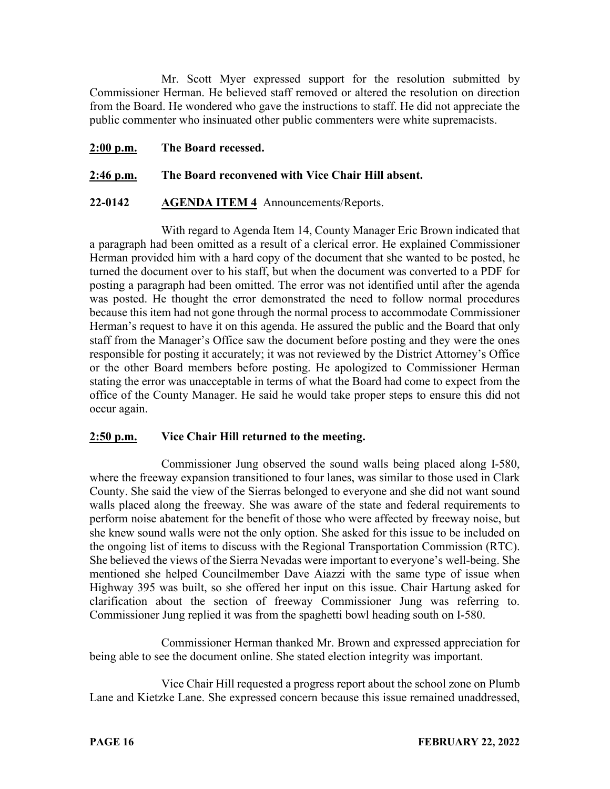Mr. Scott Myer expressed support for the resolution submitted by Commissioner Herman. He believed staff removed or altered the resolution on direction from the Board. He wondered who gave the instructions to staff. He did not appreciate the public commenter who insinuated other public commenters were white supremacists.

**2:00 p.m. The Board recessed.**

# **2:46 p.m. The Board reconvened with Vice Chair Hill absent.**

#### **22-0142 AGENDA ITEM 4** Announcements/Reports.

With regard to Agenda Item 14, County Manager Eric Brown indicated that a paragraph had been omitted as a result of a clerical error. He explained Commissioner Herman provided him with a hard copy of the document that she wanted to be posted, he turned the document over to his staff, but when the document was converted to a PDF for posting a paragraph had been omitted. The error was not identified until after the agenda was posted. He thought the error demonstrated the need to follow normal procedures because this item had not gone through the normal process to accommodate Commissioner Herman's request to have it on this agenda. He assured the public and the Board that only staff from the Manager's Office saw the document before posting and they were the ones responsible for posting it accurately; it was not reviewed by the District Attorney's Office or the other Board members before posting. He apologized to Commissioner Herman stating the error was unacceptable in terms of what the Board had come to expect from the office of the County Manager. He said he would take proper steps to ensure this did not occur again.

#### **2:50 p.m. Vice Chair Hill returned to the meeting.**

Commissioner Jung observed the sound walls being placed along I-580, where the freeway expansion transitioned to four lanes, was similar to those used in Clark County. She said the view of the Sierras belonged to everyone and she did not want sound walls placed along the freeway. She was aware of the state and federal requirements to perform noise abatement for the benefit of those who were affected by freeway noise, but she knew sound walls were not the only option. She asked for this issue to be included on the ongoing list of items to discuss with the Regional Transportation Commission (RTC). She believed the views of the Sierra Nevadas were important to everyone's well-being. She mentioned she helped Councilmember Dave Aiazzi with the same type of issue when Highway 395 was built, so she offered her input on this issue. Chair Hartung asked for clarification about the section of freeway Commissioner Jung was referring to. Commissioner Jung replied it was from the spaghetti bowl heading south on I-580.

Commissioner Herman thanked Mr. Brown and expressed appreciation for being able to see the document online. She stated election integrity was important.

Vice Chair Hill requested a progress report about the school zone on Plumb Lane and Kietzke Lane. She expressed concern because this issue remained unaddressed,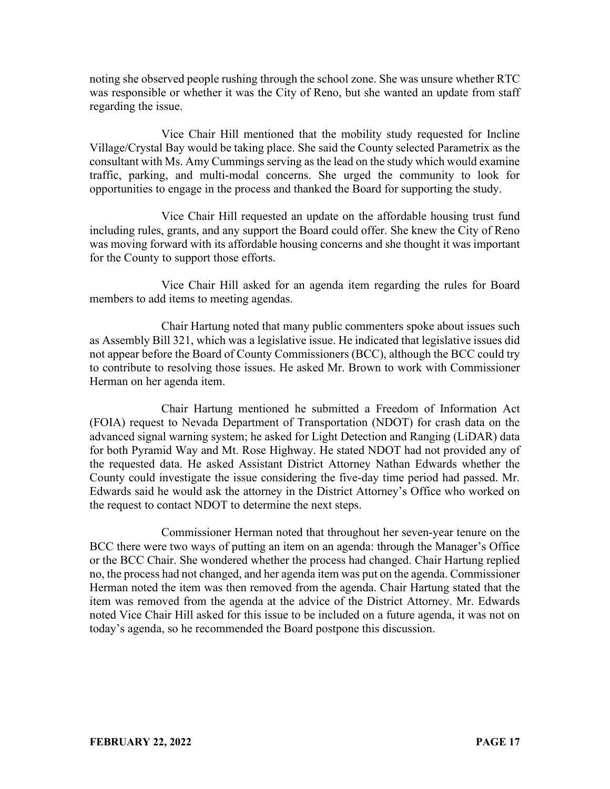noting she observed people rushing through the school zone. She was unsure whether RTC was responsible or whether it was the City of Reno, but she wanted an update from staff regarding the issue.

Vice Chair Hill mentioned that the mobility study requested for Incline Village/Crystal Bay would be taking place. She said the County selected Parametrix as the consultant with Ms. Amy Cummings serving as the lead on the study which would examine traffic, parking, and multi-modal concerns. She urged the community to look for opportunities to engage in the process and thanked the Board for supporting the study.

Vice Chair Hill requested an update on the affordable housing trust fund including rules, grants, and any support the Board could offer. She knew the City of Reno was moving forward with its affordable housing concerns and she thought it was important for the County to support those efforts.

Vice Chair Hill asked for an agenda item regarding the rules for Board members to add items to meeting agendas.

Chair Hartung noted that many public commenters spoke about issues such as Assembly Bill 321, which was a legislative issue. He indicated that legislative issues did not appear before the Board of County Commissioners (BCC), although the BCC could try to contribute to resolving those issues. He asked Mr. Brown to work with Commissioner Herman on her agenda item.

Chair Hartung mentioned he submitted a Freedom of Information Act (FOIA) request to Nevada Department of Transportation (NDOT) for crash data on the advanced signal warning system; he asked for Light Detection and Ranging (LiDAR) data for both Pyramid Way and Mt. Rose Highway. He stated NDOT had not provided any of the requested data. He asked Assistant District Attorney Nathan Edwards whether the County could investigate the issue considering the five-day time period had passed. Mr. Edwards said he would ask the attorney in the District Attorney's Office who worked on the request to contact NDOT to determine the next steps.

Commissioner Herman noted that throughout her seven-year tenure on the BCC there were two ways of putting an item on an agenda: through the Manager's Office or the BCC Chair. She wondered whether the process had changed. Chair Hartung replied no, the process had not changed, and her agenda item was put on the agenda. Commissioner Herman noted the item was then removed from the agenda. Chair Hartung stated that the item was removed from the agenda at the advice of the District Attorney. Mr. Edwards noted Vice Chair Hill asked for this issue to be included on a future agenda, it was not on today's agenda, so he recommended the Board postpone this discussion.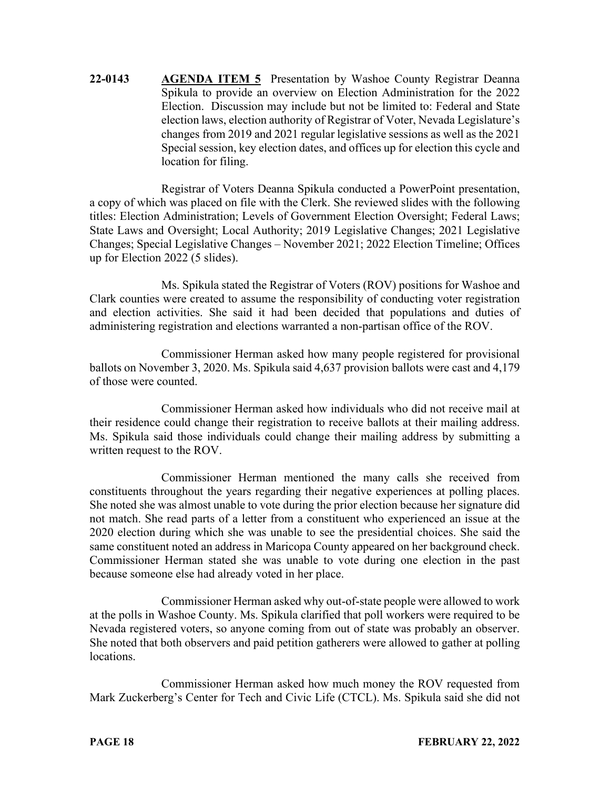**22-0143 AGENDA ITEM 5** Presentation by Washoe County Registrar Deanna Spikula to provide an overview on Election Administration for the 2022 Election. Discussion may include but not be limited to: Federal and State election laws, election authority of Registrar of Voter, Nevada Legislature's changes from 2019 and 2021 regular legislative sessions as well as the 2021 Special session, key election dates, and offices up for election this cycle and location for filing.

Registrar of Voters Deanna Spikula conducted a PowerPoint presentation, a copy of which was placed on file with the Clerk. She reviewed slides with the following titles: Election Administration; Levels of Government Election Oversight; Federal Laws; State Laws and Oversight; Local Authority; 2019 Legislative Changes; 2021 Legislative Changes; Special Legislative Changes – November 2021; 2022 Election Timeline; Offices up for Election 2022 (5 slides).

Ms. Spikula stated the Registrar of Voters (ROV) positions for Washoe and Clark counties were created to assume the responsibility of conducting voter registration and election activities. She said it had been decided that populations and duties of administering registration and elections warranted a non-partisan office of the ROV.

Commissioner Herman asked how many people registered for provisional ballots on November 3, 2020. Ms. Spikula said 4,637 provision ballots were cast and 4,179 of those were counted.

Commissioner Herman asked how individuals who did not receive mail at their residence could change their registration to receive ballots at their mailing address. Ms. Spikula said those individuals could change their mailing address by submitting a written request to the ROV.

Commissioner Herman mentioned the many calls she received from constituents throughout the years regarding their negative experiences at polling places. She noted she was almost unable to vote during the prior election because her signature did not match. She read parts of a letter from a constituent who experienced an issue at the 2020 election during which she was unable to see the presidential choices. She said the same constituent noted an address in Maricopa County appeared on her background check. Commissioner Herman stated she was unable to vote during one election in the past because someone else had already voted in her place.

Commissioner Herman asked why out-of-state people were allowed to work at the polls in Washoe County. Ms. Spikula clarified that poll workers were required to be Nevada registered voters, so anyone coming from out of state was probably an observer. She noted that both observers and paid petition gatherers were allowed to gather at polling locations.

Commissioner Herman asked how much money the ROV requested from Mark Zuckerberg's Center for Tech and Civic Life (CTCL). Ms. Spikula said she did not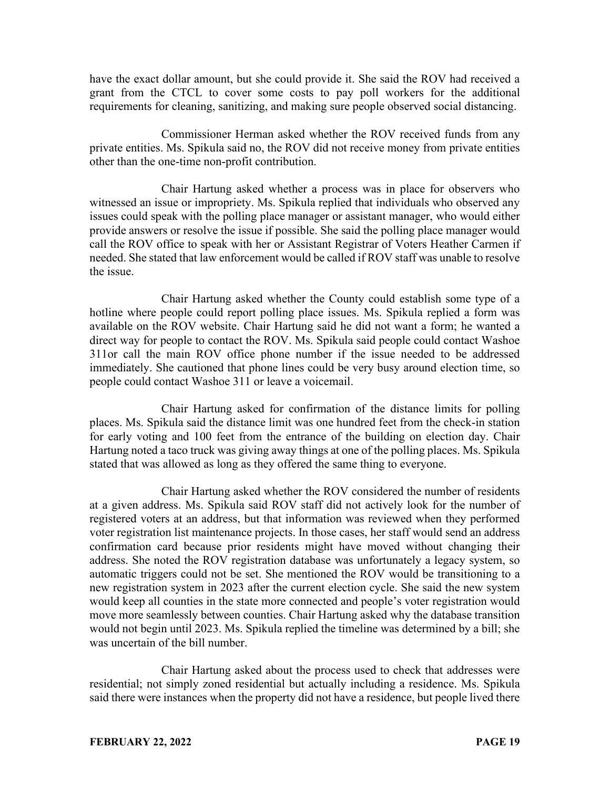have the exact dollar amount, but she could provide it. She said the ROV had received a grant from the CTCL to cover some costs to pay poll workers for the additional requirements for cleaning, sanitizing, and making sure people observed social distancing.

Commissioner Herman asked whether the ROV received funds from any private entities. Ms. Spikula said no, the ROV did not receive money from private entities other than the one-time non-profit contribution.

Chair Hartung asked whether a process was in place for observers who witnessed an issue or impropriety. Ms. Spikula replied that individuals who observed any issues could speak with the polling place manager or assistant manager, who would either provide answers or resolve the issue if possible. She said the polling place manager would call the ROV office to speak with her or Assistant Registrar of Voters Heather Carmen if needed. She stated that law enforcement would be called if ROV staff was unable to resolve the issue.

Chair Hartung asked whether the County could establish some type of a hotline where people could report polling place issues. Ms. Spikula replied a form was available on the ROV website. Chair Hartung said he did not want a form; he wanted a direct way for people to contact the ROV. Ms. Spikula said people could contact Washoe 311or call the main ROV office phone number if the issue needed to be addressed immediately. She cautioned that phone lines could be very busy around election time, so people could contact Washoe 311 or leave a voicemail.

Chair Hartung asked for confirmation of the distance limits for polling places. Ms. Spikula said the distance limit was one hundred feet from the check-in station for early voting and 100 feet from the entrance of the building on election day. Chair Hartung noted a taco truck was giving away things at one of the polling places. Ms. Spikula stated that was allowed as long as they offered the same thing to everyone.

Chair Hartung asked whether the ROV considered the number of residents at a given address. Ms. Spikula said ROV staff did not actively look for the number of registered voters at an address, but that information was reviewed when they performed voter registration list maintenance projects. In those cases, her staff would send an address confirmation card because prior residents might have moved without changing their address. She noted the ROV registration database was unfortunately a legacy system, so automatic triggers could not be set. She mentioned the ROV would be transitioning to a new registration system in 2023 after the current election cycle. She said the new system would keep all counties in the state more connected and people's voter registration would move more seamlessly between counties. Chair Hartung asked why the database transition would not begin until 2023. Ms. Spikula replied the timeline was determined by a bill; she was uncertain of the bill number.

Chair Hartung asked about the process used to check that addresses were residential; not simply zoned residential but actually including a residence. Ms. Spikula said there were instances when the property did not have a residence, but people lived there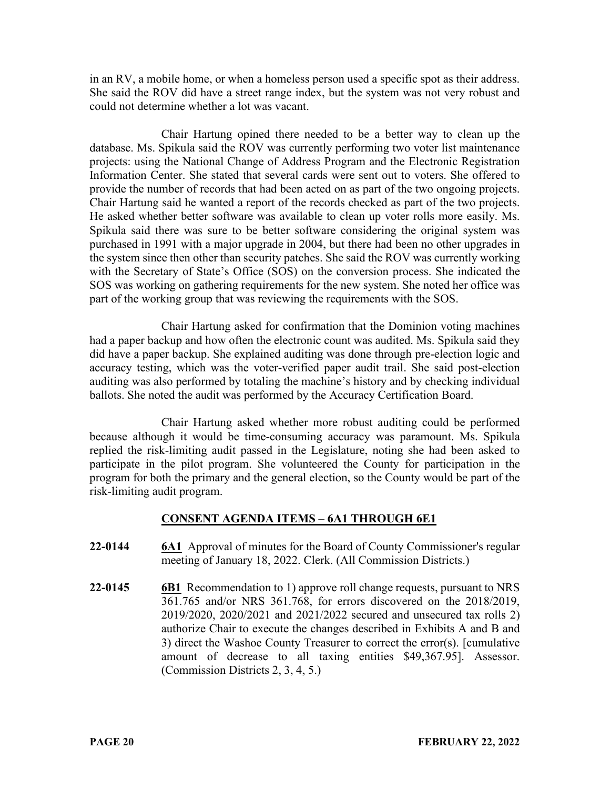in an RV, a mobile home, or when a homeless person used a specific spot as their address. She said the ROV did have a street range index, but the system was not very robust and could not determine whether a lot was vacant.

Chair Hartung opined there needed to be a better way to clean up the database. Ms. Spikula said the ROV was currently performing two voter list maintenance projects: using the National Change of Address Program and the Electronic Registration Information Center. She stated that several cards were sent out to voters. She offered to provide the number of records that had been acted on as part of the two ongoing projects. Chair Hartung said he wanted a report of the records checked as part of the two projects. He asked whether better software was available to clean up voter rolls more easily. Ms. Spikula said there was sure to be better software considering the original system was purchased in 1991 with a major upgrade in 2004, but there had been no other upgrades in the system since then other than security patches. She said the ROV was currently working with the Secretary of State's Office (SOS) on the conversion process. She indicated the SOS was working on gathering requirements for the new system. She noted her office was part of the working group that was reviewing the requirements with the SOS.

Chair Hartung asked for confirmation that the Dominion voting machines had a paper backup and how often the electronic count was audited. Ms. Spikula said they did have a paper backup. She explained auditing was done through pre-election logic and accuracy testing, which was the voter-verified paper audit trail. She said post-election auditing was also performed by totaling the machine's history and by checking individual ballots. She noted the audit was performed by the Accuracy Certification Board.

Chair Hartung asked whether more robust auditing could be performed because although it would be time-consuming accuracy was paramount. Ms. Spikula replied the risk-limiting audit passed in the Legislature, noting she had been asked to participate in the pilot program. She volunteered the County for participation in the program for both the primary and the general election, so the County would be part of the risk-limiting audit program.

# **CONSENT AGENDA ITEMS** – **6A1 THROUGH 6E1**

- **22-0144 6A1** Approval of minutes for the Board of County Commissioner's regular meeting of January 18, 2022. Clerk. (All Commission Districts.)
- **22-0145 6B1** Recommendation to 1) approve roll change requests, pursuant to NRS 361.765 and/or NRS 361.768, for errors discovered on the 2018/2019, 2019/2020, 2020/2021 and 2021/2022 secured and unsecured tax rolls 2) authorize Chair to execute the changes described in Exhibits A and B and 3) direct the Washoe County Treasurer to correct the error(s). [cumulative amount of decrease to all taxing entities \$49,367.95]. Assessor. (Commission Districts 2, 3, 4, 5.)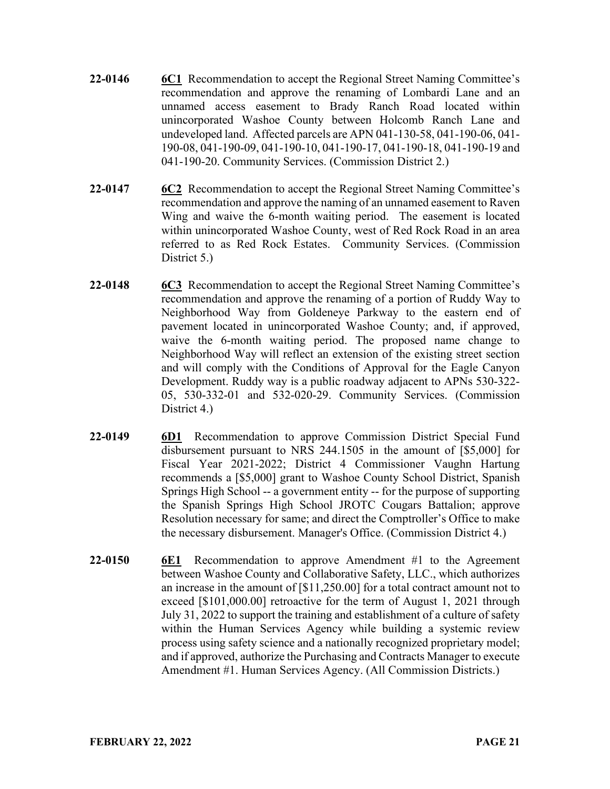- **22-0146 6C1** Recommendation to accept the Regional Street Naming Committee's recommendation and approve the renaming of Lombardi Lane and an unnamed access easement to Brady Ranch Road located within unincorporated Washoe County between Holcomb Ranch Lane and undeveloped land. Affected parcels are APN 041-130-58, 041-190-06, 041- 190-08, 041-190-09, 041-190-10, 041-190-17, 041-190-18, 041-190-19 and 041-190-20. Community Services. (Commission District 2.)
- **22-0147 6C2** Recommendation to accept the Regional Street Naming Committee's recommendation and approve the naming of an unnamed easement to Raven Wing and waive the 6-month waiting period. The easement is located within unincorporated Washoe County, west of Red Rock Road in an area referred to as Red Rock Estates. Community Services. (Commission District 5.)
- **22-0148 6C3** Recommendation to accept the Regional Street Naming Committee's recommendation and approve the renaming of a portion of Ruddy Way to Neighborhood Way from Goldeneye Parkway to the eastern end of pavement located in unincorporated Washoe County; and, if approved, waive the 6-month waiting period. The proposed name change to Neighborhood Way will reflect an extension of the existing street section and will comply with the Conditions of Approval for the Eagle Canyon Development. Ruddy way is a public roadway adjacent to APNs 530-322- 05, 530-332-01 and 532-020-29. Community Services. (Commission District 4.)
- **22-0149 6D1** Recommendation to approve Commission District Special Fund disbursement pursuant to NRS 244.1505 in the amount of [\$5,000] for Fiscal Year 2021-2022; District 4 Commissioner Vaughn Hartung recommends a [\$5,000] grant to Washoe County School District, Spanish Springs High School -- a government entity -- for the purpose of supporting the Spanish Springs High School JROTC Cougars Battalion; approve Resolution necessary for same; and direct the Comptroller's Office to make the necessary disbursement. Manager's Office. (Commission District 4.)
- **22-0150 6E1** Recommendation to approve Amendment #1 to the Agreement between Washoe County and Collaborative Safety, LLC., which authorizes an increase in the amount of [\$11,250.00] for a total contract amount not to exceed [\$101,000.00] retroactive for the term of August 1, 2021 through July 31, 2022 to support the training and establishment of a culture of safety within the Human Services Agency while building a systemic review process using safety science and a nationally recognized proprietary model; and if approved, authorize the Purchasing and Contracts Manager to execute Amendment #1. Human Services Agency. (All Commission Districts.)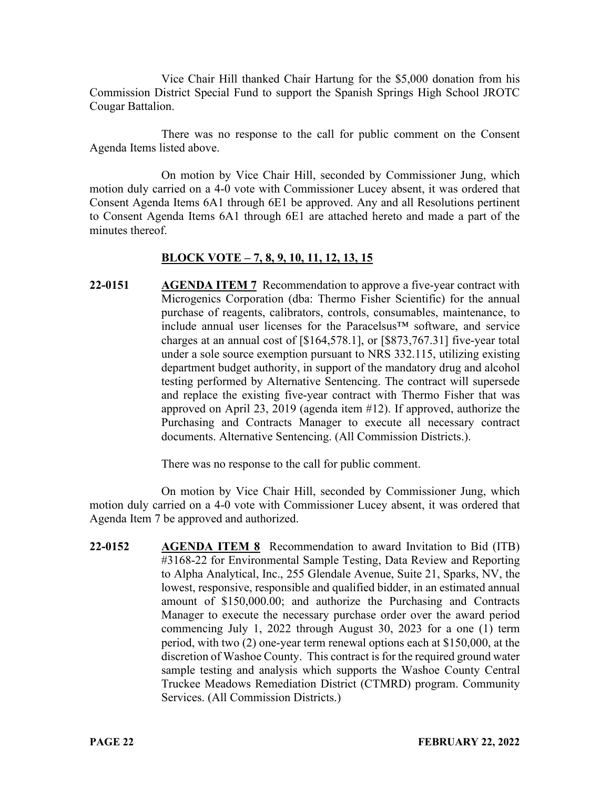Vice Chair Hill thanked Chair Hartung for the \$5,000 donation from his Commission District Special Fund to support the Spanish Springs High School JROTC Cougar Battalion.

There was no response to the call for public comment on the Consent Agenda Items listed above.

On motion by Vice Chair Hill, seconded by Commissioner Jung, which motion duly carried on a 4-0 vote with Commissioner Lucey absent, it was ordered that Consent Agenda Items 6A1 through 6E1 be approved. Any and all Resolutions pertinent to Consent Agenda Items 6A1 through 6E1 are attached hereto and made a part of the minutes thereof.

#### **BLOCK VOTE – 7, 8, 9, 10, 11, 12, 13, 15**

**22-0151 AGENDA ITEM 7** Recommendation to approve a five-year contract with Microgenics Corporation (dba: Thermo Fisher Scientific) for the annual purchase of reagents, calibrators, controls, consumables, maintenance, to include annual user licenses for the Paracelsus™ software, and service charges at an annual cost of [\$164,578.1], or [\$873,767.31] five-year total under a sole source exemption pursuant to NRS 332.115, utilizing existing department budget authority, in support of the mandatory drug and alcohol testing performed by Alternative Sentencing. The contract will supersede and replace the existing five-year contract with Thermo Fisher that was approved on April 23, 2019 (agenda item #12). If approved, authorize the Purchasing and Contracts Manager to execute all necessary contract documents. Alternative Sentencing. (All Commission Districts.).

There was no response to the call for public comment.

On motion by Vice Chair Hill, seconded by Commissioner Jung, which motion duly carried on a 4-0 vote with Commissioner Lucey absent, it was ordered that Agenda Item 7 be approved and authorized.

**22-0152 AGENDA ITEM 8** Recommendation to award Invitation to Bid (ITB) #3168-22 for Environmental Sample Testing, Data Review and Reporting to Alpha Analytical, Inc., 255 Glendale Avenue, Suite 21, Sparks, NV, the lowest, responsive, responsible and qualified bidder, in an estimated annual amount of \$150,000.00; and authorize the Purchasing and Contracts Manager to execute the necessary purchase order over the award period commencing July 1, 2022 through August 30, 2023 for a one (1) term period, with two (2) one-year term renewal options each at \$150,000, at the discretion of Washoe County. This contract is for the required ground water sample testing and analysis which supports the Washoe County Central Truckee Meadows Remediation District (CTMRD) program. Community Services. (All Commission Districts.)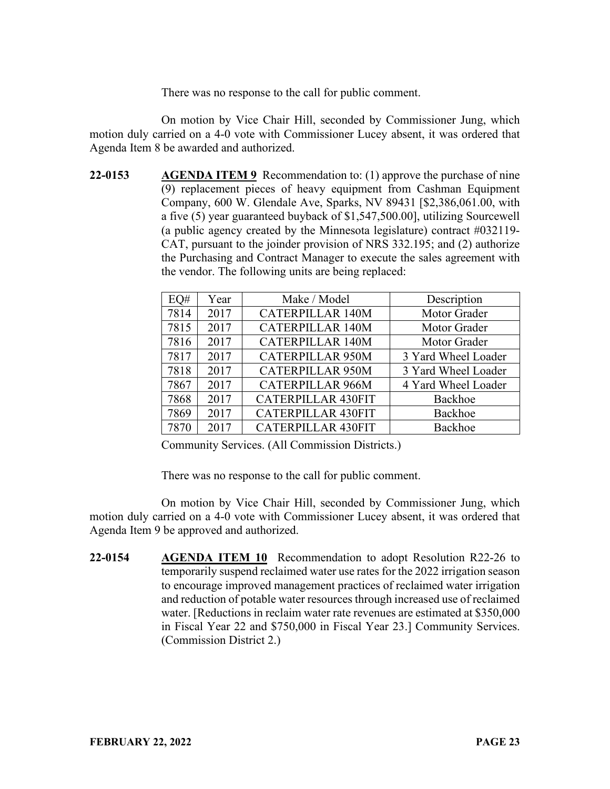There was no response to the call for public comment.

On motion by Vice Chair Hill, seconded by Commissioner Jung, which motion duly carried on a 4-0 vote with Commissioner Lucey absent, it was ordered that Agenda Item 8 be awarded and authorized.

**22-0153 AGENDA ITEM 9** Recommendation to: (1) approve the purchase of nine (9) replacement pieces of heavy equipment from Cashman Equipment Company, 600 W. Glendale Ave, Sparks, NV 89431 [\$2,386,061.00, with a five (5) year guaranteed buyback of \$1,547,500.00], utilizing Sourcewell (a public agency created by the Minnesota legislature) contract #032119- CAT, pursuant to the joinder provision of NRS 332.195; and (2) authorize the Purchasing and Contract Manager to execute the sales agreement with the vendor. The following units are being replaced:

| EQ#  | Year | Make / Model              | Description         |
|------|------|---------------------------|---------------------|
| 7814 | 2017 | <b>CATERPILLAR 140M</b>   | Motor Grader        |
| 7815 | 2017 | <b>CATERPILLAR 140M</b>   | Motor Grader        |
| 7816 | 2017 | <b>CATERPILLAR 140M</b>   | Motor Grader        |
| 7817 | 2017 | <b>CATERPILLAR 950M</b>   | 3 Yard Wheel Loader |
| 7818 | 2017 | <b>CATERPILLAR 950M</b>   | 3 Yard Wheel Loader |
| 7867 | 2017 | <b>CATERPILLAR 966M</b>   | 4 Yard Wheel Loader |
| 7868 | 2017 | <b>CATERPILLAR 430FIT</b> | Backhoe             |
| 7869 | 2017 | <b>CATERPILLAR 430FIT</b> | Backhoe             |
| 7870 | 2017 | <b>CATERPILLAR 430FIT</b> | Backhoe             |

Community Services. (All Commission Districts.)

There was no response to the call for public comment.

On motion by Vice Chair Hill, seconded by Commissioner Jung, which motion duly carried on a 4-0 vote with Commissioner Lucey absent, it was ordered that Agenda Item 9 be approved and authorized.

**22-0154 AGENDA ITEM 10** Recommendation to adopt Resolution R22-26 to temporarily suspend reclaimed water use rates for the 2022 irrigation season to encourage improved management practices of reclaimed water irrigation and reduction of potable water resources through increased use of reclaimed water. [Reductions in reclaim water rate revenues are estimated at \$350,000 in Fiscal Year 22 and \$750,000 in Fiscal Year 23.] Community Services. (Commission District 2.)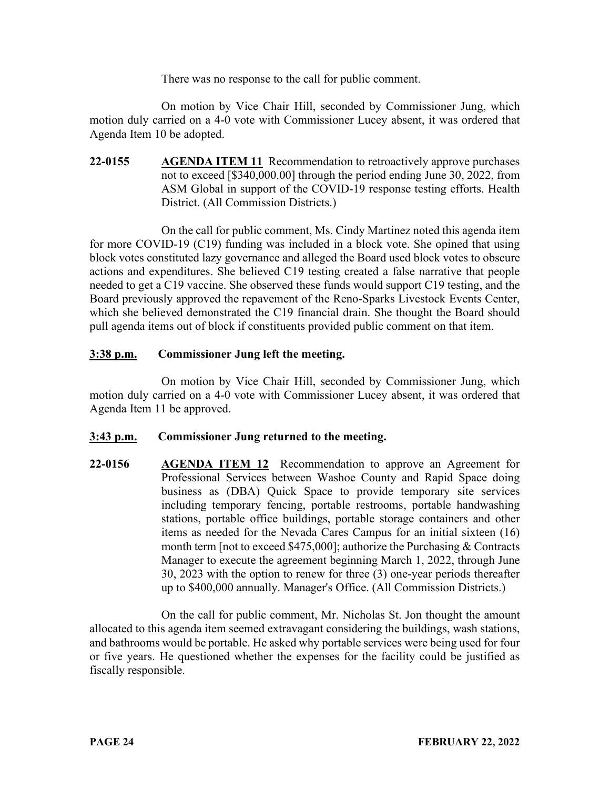There was no response to the call for public comment.

On motion by Vice Chair Hill, seconded by Commissioner Jung, which motion duly carried on a 4-0 vote with Commissioner Lucey absent, it was ordered that Agenda Item 10 be adopted.

**22-0155 AGENDA ITEM 11** Recommendation to retroactively approve purchases not to exceed [\$340,000.00] through the period ending June 30, 2022, from ASM Global in support of the COVID-19 response testing efforts. Health District. (All Commission Districts.)

On the call for public comment, Ms. Cindy Martinez noted this agenda item for more COVID-19 (C19) funding was included in a block vote. She opined that using block votes constituted lazy governance and alleged the Board used block votes to obscure actions and expenditures. She believed C19 testing created a false narrative that people needed to get a C19 vaccine. She observed these funds would support C19 testing, and the Board previously approved the repavement of the Reno-Sparks Livestock Events Center, which she believed demonstrated the C19 financial drain. She thought the Board should pull agenda items out of block if constituents provided public comment on that item.

# **3:38 p.m. Commissioner Jung left the meeting.**

On motion by Vice Chair Hill, seconded by Commissioner Jung, which motion duly carried on a 4-0 vote with Commissioner Lucey absent, it was ordered that Agenda Item 11 be approved.

#### **3:43 p.m. Commissioner Jung returned to the meeting.**

**22-0156 AGENDA ITEM 12** Recommendation to approve an Agreement for Professional Services between Washoe County and Rapid Space doing business as (DBA) Quick Space to provide temporary site services including temporary fencing, portable restrooms, portable handwashing stations, portable office buildings, portable storage containers and other items as needed for the Nevada Cares Campus for an initial sixteen (16) month term [not to exceed \$475,000]; authorize the Purchasing & Contracts Manager to execute the agreement beginning March 1, 2022, through June 30, 2023 with the option to renew for three (3) one-year periods thereafter up to \$400,000 annually. Manager's Office. (All Commission Districts.)

On the call for public comment, Mr. Nicholas St. Jon thought the amount allocated to this agenda item seemed extravagant considering the buildings, wash stations, and bathrooms would be portable. He asked why portable services were being used for four or five years. He questioned whether the expenses for the facility could be justified as fiscally responsible.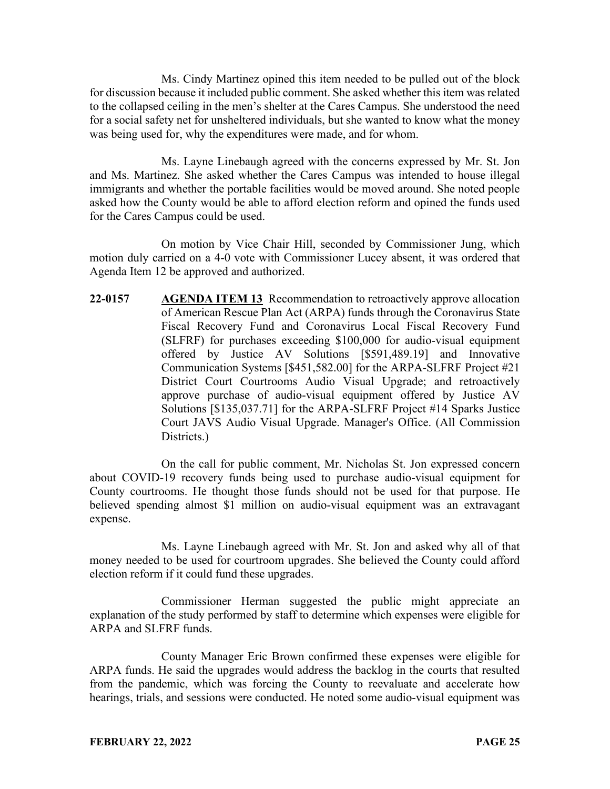Ms. Cindy Martinez opined this item needed to be pulled out of the block for discussion because it included public comment. She asked whether this item was related to the collapsed ceiling in the men's shelter at the Cares Campus. She understood the need for a social safety net for unsheltered individuals, but she wanted to know what the money was being used for, why the expenditures were made, and for whom.

Ms. Layne Linebaugh agreed with the concerns expressed by Mr. St. Jon and Ms. Martinez. She asked whether the Cares Campus was intended to house illegal immigrants and whether the portable facilities would be moved around. She noted people asked how the County would be able to afford election reform and opined the funds used for the Cares Campus could be used.

On motion by Vice Chair Hill, seconded by Commissioner Jung, which motion duly carried on a 4-0 vote with Commissioner Lucey absent, it was ordered that Agenda Item 12 be approved and authorized.

**22-0157 AGENDA ITEM 13** Recommendation to retroactively approve allocation of American Rescue Plan Act (ARPA) funds through the Coronavirus State Fiscal Recovery Fund and Coronavirus Local Fiscal Recovery Fund (SLFRF) for purchases exceeding \$100,000 for audio-visual equipment offered by Justice AV Solutions [\$591,489.19] and Innovative Communication Systems [\$451,582.00] for the ARPA-SLFRF Project #21 District Court Courtrooms Audio Visual Upgrade; and retroactively approve purchase of audio-visual equipment offered by Justice AV Solutions [\$135,037.71] for the ARPA-SLFRF Project #14 Sparks Justice Court JAVS Audio Visual Upgrade. Manager's Office. (All Commission Districts.)

On the call for public comment, Mr. Nicholas St. Jon expressed concern about COVID-19 recovery funds being used to purchase audio-visual equipment for County courtrooms. He thought those funds should not be used for that purpose. He believed spending almost \$1 million on audio-visual equipment was an extravagant expense.

Ms. Layne Linebaugh agreed with Mr. St. Jon and asked why all of that money needed to be used for courtroom upgrades. She believed the County could afford election reform if it could fund these upgrades.

Commissioner Herman suggested the public might appreciate an explanation of the study performed by staff to determine which expenses were eligible for ARPA and SLFRF funds.

County Manager Eric Brown confirmed these expenses were eligible for ARPA funds. He said the upgrades would address the backlog in the courts that resulted from the pandemic, which was forcing the County to reevaluate and accelerate how hearings, trials, and sessions were conducted. He noted some audio-visual equipment was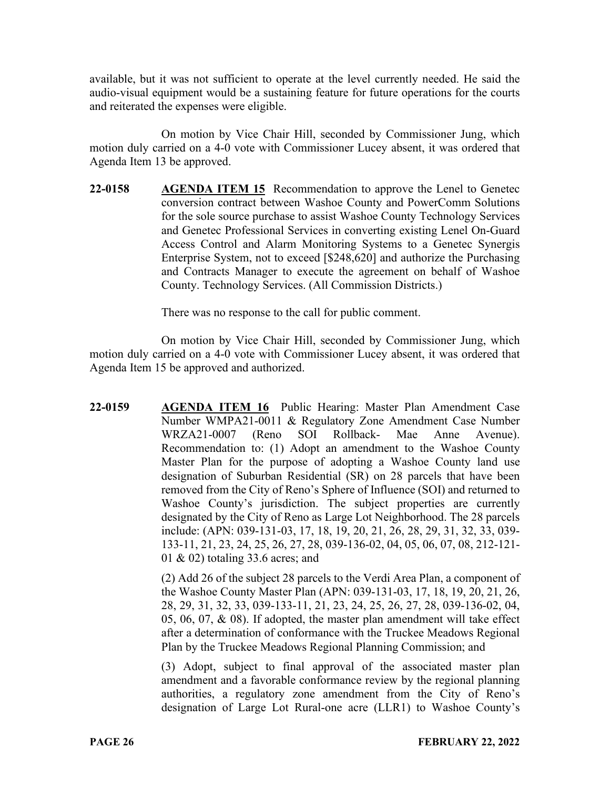available, but it was not sufficient to operate at the level currently needed. He said the audio-visual equipment would be a sustaining feature for future operations for the courts and reiterated the expenses were eligible.

On motion by Vice Chair Hill, seconded by Commissioner Jung, which motion duly carried on a 4-0 vote with Commissioner Lucey absent, it was ordered that Agenda Item 13 be approved.

**22-0158 AGENDA ITEM 15** Recommendation to approve the Lenel to Genetec conversion contract between Washoe County and PowerComm Solutions for the sole source purchase to assist Washoe County Technology Services and Genetec Professional Services in converting existing Lenel On-Guard Access Control and Alarm Monitoring Systems to a Genetec Synergis Enterprise System, not to exceed [\$248,620] and authorize the Purchasing and Contracts Manager to execute the agreement on behalf of Washoe County. Technology Services. (All Commission Districts.)

There was no response to the call for public comment.

On motion by Vice Chair Hill, seconded by Commissioner Jung, which motion duly carried on a 4-0 vote with Commissioner Lucey absent, it was ordered that Agenda Item 15 be approved and authorized.

**22-0159 AGENDA ITEM 16** Public Hearing: Master Plan Amendment Case Number WMPA21-0011 & Regulatory Zone Amendment Case Number WRZA21-0007 (Reno SOI Rollback- Mae Anne Avenue). Recommendation to: (1) Adopt an amendment to the Washoe County Master Plan for the purpose of adopting a Washoe County land use designation of Suburban Residential (SR) on 28 parcels that have been removed from the City of Reno's Sphere of Influence (SOI) and returned to Washoe County's jurisdiction. The subject properties are currently designated by the City of Reno as Large Lot Neighborhood. The 28 parcels include: (APN: 039-131-03, 17, 18, 19, 20, 21, 26, 28, 29, 31, 32, 33, 039- 133-11, 21, 23, 24, 25, 26, 27, 28, 039-136-02, 04, 05, 06, 07, 08, 212-121- 01 & 02) totaling 33.6 acres; and

> (2) Add 26 of the subject 28 parcels to the Verdi Area Plan, a component of the Washoe County Master Plan (APN: 039-131-03, 17, 18, 19, 20, 21, 26, 28, 29, 31, 32, 33, 039-133-11, 21, 23, 24, 25, 26, 27, 28, 039-136-02, 04, 05, 06, 07, & 08). If adopted, the master plan amendment will take effect after a determination of conformance with the Truckee Meadows Regional Plan by the Truckee Meadows Regional Planning Commission; and

> (3) Adopt, subject to final approval of the associated master plan amendment and a favorable conformance review by the regional planning authorities, a regulatory zone amendment from the City of Reno's designation of Large Lot Rural-one acre (LLR1) to Washoe County's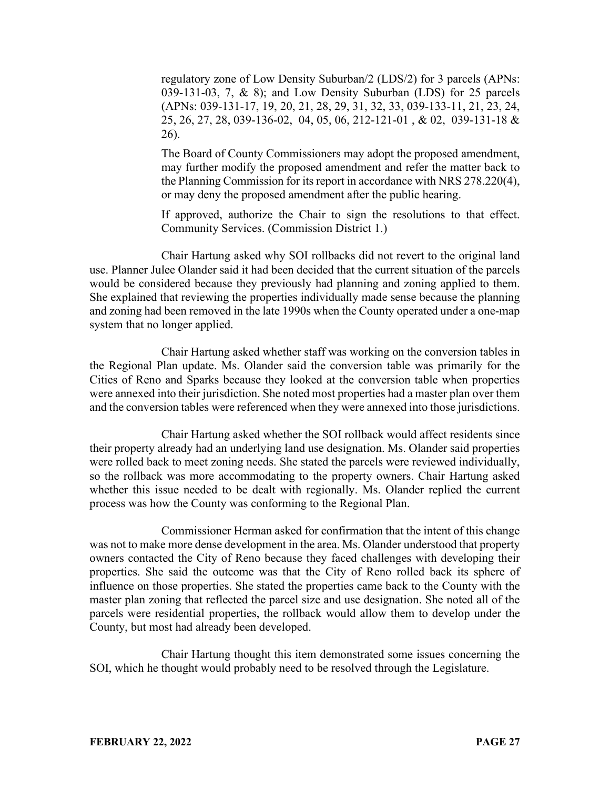regulatory zone of Low Density Suburban/2 (LDS/2) for 3 parcels (APNs: 039-131-03, 7, & 8); and Low Density Suburban (LDS) for 25 parcels (APNs: 039-131-17, 19, 20, 21, 28, 29, 31, 32, 33, 039-133-11, 21, 23, 24, 25, 26, 27, 28, 039-136-02, 04, 05, 06, 212-121-01 , & 02, 039-131-18 & 26).

The Board of County Commissioners may adopt the proposed amendment, may further modify the proposed amendment and refer the matter back to the Planning Commission for its report in accordance with NRS 278.220(4), or may deny the proposed amendment after the public hearing.

If approved, authorize the Chair to sign the resolutions to that effect. Community Services. (Commission District 1.)

Chair Hartung asked why SOI rollbacks did not revert to the original land use. Planner Julee Olander said it had been decided that the current situation of the parcels would be considered because they previously had planning and zoning applied to them. She explained that reviewing the properties individually made sense because the planning and zoning had been removed in the late 1990s when the County operated under a one-map system that no longer applied.

Chair Hartung asked whether staff was working on the conversion tables in the Regional Plan update. Ms. Olander said the conversion table was primarily for the Cities of Reno and Sparks because they looked at the conversion table when properties were annexed into their jurisdiction. She noted most properties had a master plan over them and the conversion tables were referenced when they were annexed into those jurisdictions.

Chair Hartung asked whether the SOI rollback would affect residents since their property already had an underlying land use designation. Ms. Olander said properties were rolled back to meet zoning needs. She stated the parcels were reviewed individually, so the rollback was more accommodating to the property owners. Chair Hartung asked whether this issue needed to be dealt with regionally. Ms. Olander replied the current process was how the County was conforming to the Regional Plan.

Commissioner Herman asked for confirmation that the intent of this change was not to make more dense development in the area. Ms. Olander understood that property owners contacted the City of Reno because they faced challenges with developing their properties. She said the outcome was that the City of Reno rolled back its sphere of influence on those properties. She stated the properties came back to the County with the master plan zoning that reflected the parcel size and use designation. She noted all of the parcels were residential properties, the rollback would allow them to develop under the County, but most had already been developed.

Chair Hartung thought this item demonstrated some issues concerning the SOI, which he thought would probably need to be resolved through the Legislature.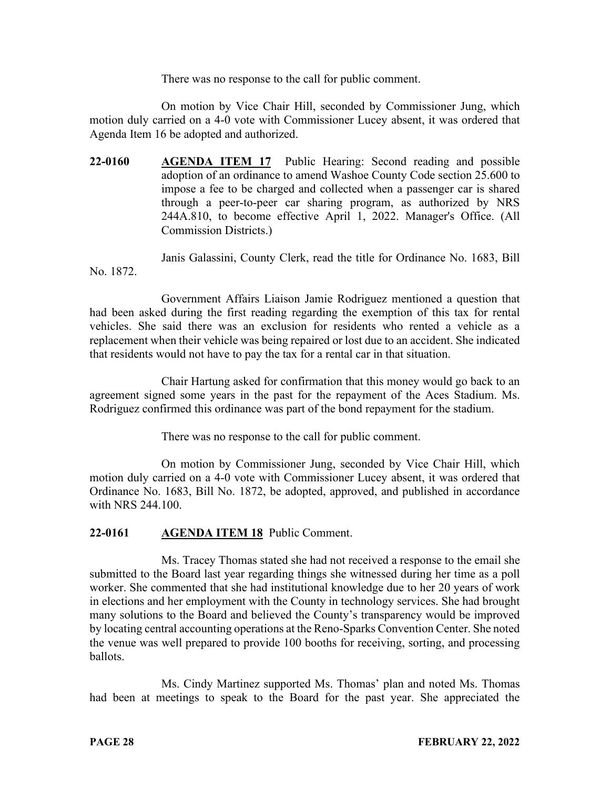There was no response to the call for public comment.

On motion by Vice Chair Hill, seconded by Commissioner Jung, which motion duly carried on a 4-0 vote with Commissioner Lucey absent, it was ordered that Agenda Item 16 be adopted and authorized.

**22-0160 AGENDA ITEM 17** Public Hearing: Second reading and possible adoption of an ordinance to amend Washoe County Code section 25.600 to impose a fee to be charged and collected when a passenger car is shared through a peer-to-peer car sharing program, as authorized by NRS 244A.810, to become effective April 1, 2022. Manager's Office. (All Commission Districts.)

Janis Galassini, County Clerk, read the title for Ordinance No. 1683, Bill No. 1872.

Government Affairs Liaison Jamie Rodriguez mentioned a question that had been asked during the first reading regarding the exemption of this tax for rental vehicles. She said there was an exclusion for residents who rented a vehicle as a replacement when their vehicle was being repaired or lost due to an accident. She indicated that residents would not have to pay the tax for a rental car in that situation.

Chair Hartung asked for confirmation that this money would go back to an agreement signed some years in the past for the repayment of the Aces Stadium. Ms. Rodriguez confirmed this ordinance was part of the bond repayment for the stadium.

There was no response to the call for public comment.

On motion by Commissioner Jung, seconded by Vice Chair Hill, which motion duly carried on a 4-0 vote with Commissioner Lucey absent, it was ordered that Ordinance No. 1683, Bill No. 1872, be adopted, approved, and published in accordance with NRS 244.100.

# **22-0161 AGENDA ITEM 18** Public Comment.

Ms. Tracey Thomas stated she had not received a response to the email she submitted to the Board last year regarding things she witnessed during her time as a poll worker. She commented that she had institutional knowledge due to her 20 years of work in elections and her employment with the County in technology services. She had brought many solutions to the Board and believed the County's transparency would be improved by locating central accounting operations at the Reno-Sparks Convention Center. She noted the venue was well prepared to provide 100 booths for receiving, sorting, and processing ballots.

Ms. Cindy Martinez supported Ms. Thomas' plan and noted Ms. Thomas had been at meetings to speak to the Board for the past year. She appreciated the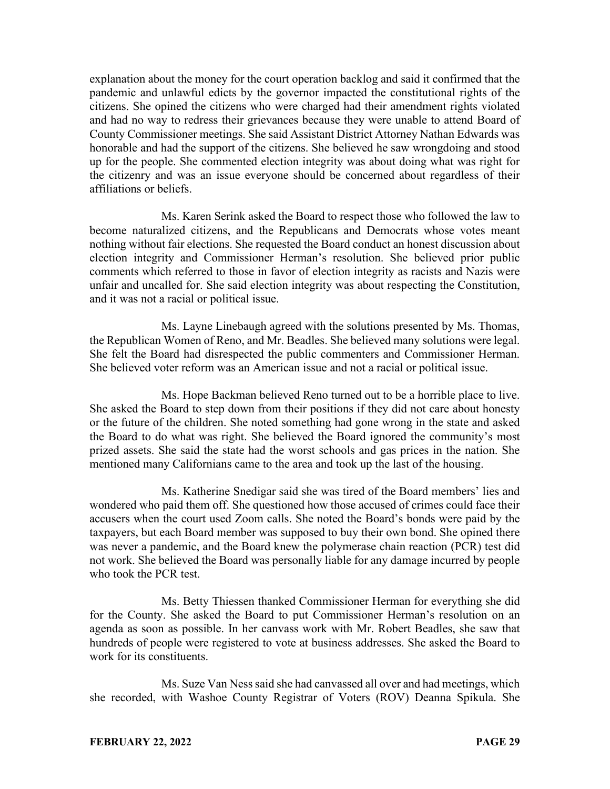explanation about the money for the court operation backlog and said it confirmed that the pandemic and unlawful edicts by the governor impacted the constitutional rights of the citizens. She opined the citizens who were charged had their amendment rights violated and had no way to redress their grievances because they were unable to attend Board of County Commissioner meetings. She said Assistant District Attorney Nathan Edwards was honorable and had the support of the citizens. She believed he saw wrongdoing and stood up for the people. She commented election integrity was about doing what was right for the citizenry and was an issue everyone should be concerned about regardless of their affiliations or beliefs.

Ms. Karen Serink asked the Board to respect those who followed the law to become naturalized citizens, and the Republicans and Democrats whose votes meant nothing without fair elections. She requested the Board conduct an honest discussion about election integrity and Commissioner Herman's resolution. She believed prior public comments which referred to those in favor of election integrity as racists and Nazis were unfair and uncalled for. She said election integrity was about respecting the Constitution, and it was not a racial or political issue.

Ms. Layne Linebaugh agreed with the solutions presented by Ms. Thomas, the Republican Women of Reno, and Mr. Beadles. She believed many solutions were legal. She felt the Board had disrespected the public commenters and Commissioner Herman. She believed voter reform was an American issue and not a racial or political issue.

Ms. Hope Backman believed Reno turned out to be a horrible place to live. She asked the Board to step down from their positions if they did not care about honesty or the future of the children. She noted something had gone wrong in the state and asked the Board to do what was right. She believed the Board ignored the community's most prized assets. She said the state had the worst schools and gas prices in the nation. She mentioned many Californians came to the area and took up the last of the housing.

Ms. Katherine Snedigar said she was tired of the Board members' lies and wondered who paid them off. She questioned how those accused of crimes could face their accusers when the court used Zoom calls. She noted the Board's bonds were paid by the taxpayers, but each Board member was supposed to buy their own bond. She opined there was never a pandemic, and the Board knew the polymerase chain reaction (PCR) test did not work. She believed the Board was personally liable for any damage incurred by people who took the PCR test.

Ms. Betty Thiessen thanked Commissioner Herman for everything she did for the County. She asked the Board to put Commissioner Herman's resolution on an agenda as soon as possible. In her canvass work with Mr. Robert Beadles, she saw that hundreds of people were registered to vote at business addresses. She asked the Board to work for its constituents.

Ms. Suze Van Ness said she had canvassed all over and had meetings, which she recorded, with Washoe County Registrar of Voters (ROV) Deanna Spikula. She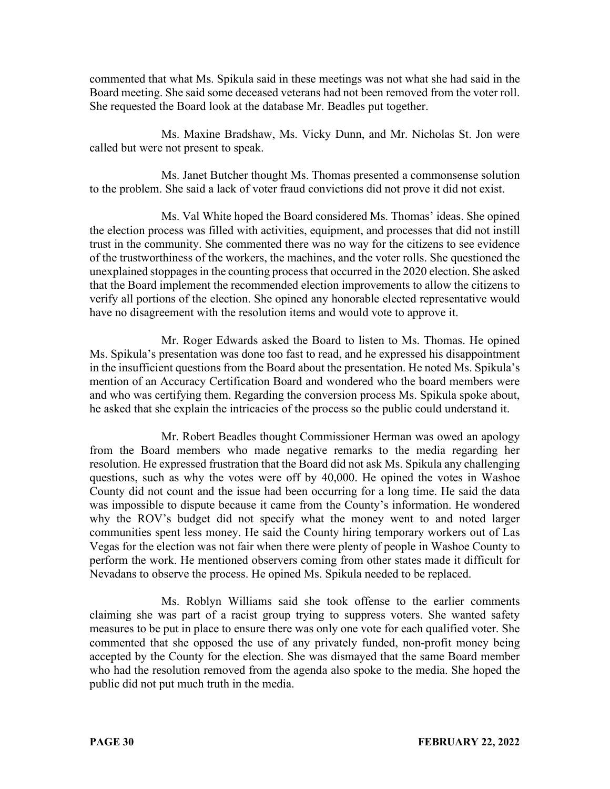commented that what Ms. Spikula said in these meetings was not what she had said in the Board meeting. She said some deceased veterans had not been removed from the voter roll. She requested the Board look at the database Mr. Beadles put together.

Ms. Maxine Bradshaw, Ms. Vicky Dunn, and Mr. Nicholas St. Jon were called but were not present to speak.

Ms. Janet Butcher thought Ms. Thomas presented a commonsense solution to the problem. She said a lack of voter fraud convictions did not prove it did not exist.

Ms. Val White hoped the Board considered Ms. Thomas' ideas. She opined the election process was filled with activities, equipment, and processes that did not instill trust in the community. She commented there was no way for the citizens to see evidence of the trustworthiness of the workers, the machines, and the voter rolls. She questioned the unexplained stoppages in the counting process that occurred in the 2020 election. She asked that the Board implement the recommended election improvements to allow the citizens to verify all portions of the election. She opined any honorable elected representative would have no disagreement with the resolution items and would vote to approve it.

Mr. Roger Edwards asked the Board to listen to Ms. Thomas. He opined Ms. Spikula's presentation was done too fast to read, and he expressed his disappointment in the insufficient questions from the Board about the presentation. He noted Ms. Spikula's mention of an Accuracy Certification Board and wondered who the board members were and who was certifying them. Regarding the conversion process Ms. Spikula spoke about, he asked that she explain the intricacies of the process so the public could understand it.

Mr. Robert Beadles thought Commissioner Herman was owed an apology from the Board members who made negative remarks to the media regarding her resolution. He expressed frustration that the Board did not ask Ms. Spikula any challenging questions, such as why the votes were off by 40,000. He opined the votes in Washoe County did not count and the issue had been occurring for a long time. He said the data was impossible to dispute because it came from the County's information. He wondered why the ROV's budget did not specify what the money went to and noted larger communities spent less money. He said the County hiring temporary workers out of Las Vegas for the election was not fair when there were plenty of people in Washoe County to perform the work. He mentioned observers coming from other states made it difficult for Nevadans to observe the process. He opined Ms. Spikula needed to be replaced.

Ms. Roblyn Williams said she took offense to the earlier comments claiming she was part of a racist group trying to suppress voters. She wanted safety measures to be put in place to ensure there was only one vote for each qualified voter. She commented that she opposed the use of any privately funded, non-profit money being accepted by the County for the election. She was dismayed that the same Board member who had the resolution removed from the agenda also spoke to the media. She hoped the public did not put much truth in the media.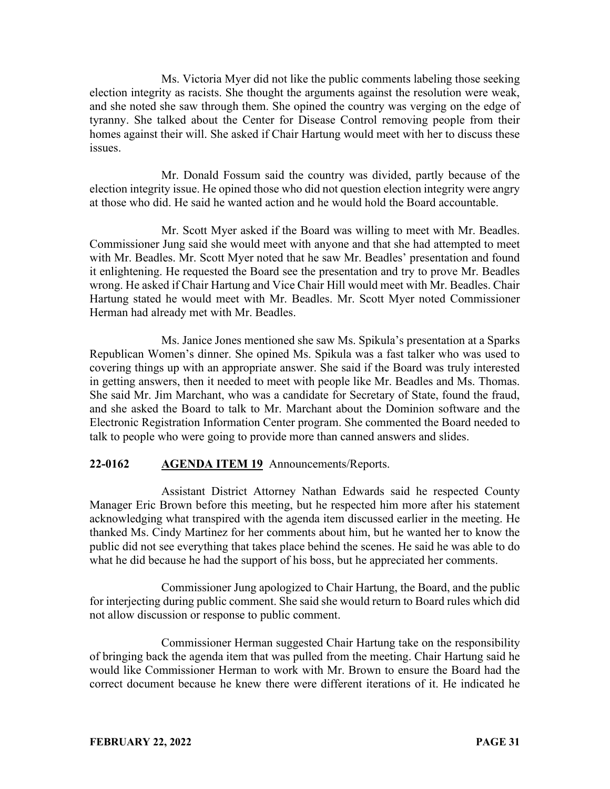Ms. Victoria Myer did not like the public comments labeling those seeking election integrity as racists. She thought the arguments against the resolution were weak, and she noted she saw through them. She opined the country was verging on the edge of tyranny. She talked about the Center for Disease Control removing people from their homes against their will. She asked if Chair Hartung would meet with her to discuss these issues.

Mr. Donald Fossum said the country was divided, partly because of the election integrity issue. He opined those who did not question election integrity were angry at those who did. He said he wanted action and he would hold the Board accountable.

Mr. Scott Myer asked if the Board was willing to meet with Mr. Beadles. Commissioner Jung said she would meet with anyone and that she had attempted to meet with Mr. Beadles. Mr. Scott Myer noted that he saw Mr. Beadles' presentation and found it enlightening. He requested the Board see the presentation and try to prove Mr. Beadles wrong. He asked if Chair Hartung and Vice Chair Hill would meet with Mr. Beadles. Chair Hartung stated he would meet with Mr. Beadles. Mr. Scott Myer noted Commissioner Herman had already met with Mr. Beadles.

Ms. Janice Jones mentioned she saw Ms. Spikula's presentation at a Sparks Republican Women's dinner. She opined Ms. Spikula was a fast talker who was used to covering things up with an appropriate answer. She said if the Board was truly interested in getting answers, then it needed to meet with people like Mr. Beadles and Ms. Thomas. She said Mr. Jim Marchant, who was a candidate for Secretary of State, found the fraud, and she asked the Board to talk to Mr. Marchant about the Dominion software and the Electronic Registration Information Center program. She commented the Board needed to talk to people who were going to provide more than canned answers and slides.

# **22-0162 AGENDA ITEM 19** Announcements/Reports.

Assistant District Attorney Nathan Edwards said he respected County Manager Eric Brown before this meeting, but he respected him more after his statement acknowledging what transpired with the agenda item discussed earlier in the meeting. He thanked Ms. Cindy Martinez for her comments about him, but he wanted her to know the public did not see everything that takes place behind the scenes. He said he was able to do what he did because he had the support of his boss, but he appreciated her comments.

Commissioner Jung apologized to Chair Hartung, the Board, and the public for interjecting during public comment. She said she would return to Board rules which did not allow discussion or response to public comment.

Commissioner Herman suggested Chair Hartung take on the responsibility of bringing back the agenda item that was pulled from the meeting. Chair Hartung said he would like Commissioner Herman to work with Mr. Brown to ensure the Board had the correct document because he knew there were different iterations of it. He indicated he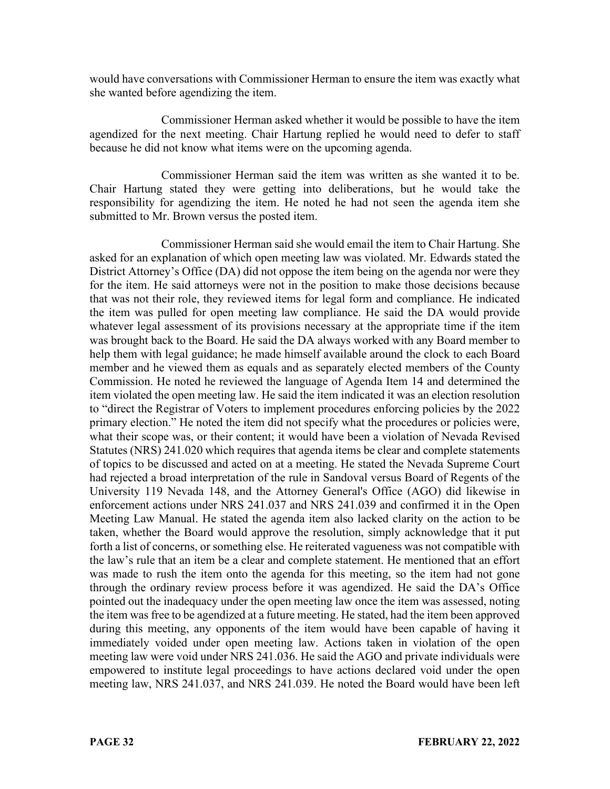would have conversations with Commissioner Herman to ensure the item was exactly what she wanted before agendizing the item.

Commissioner Herman asked whether it would be possible to have the item agendized for the next meeting. Chair Hartung replied he would need to defer to staff because he did not know what items were on the upcoming agenda.

Commissioner Herman said the item was written as she wanted it to be. Chair Hartung stated they were getting into deliberations, but he would take the responsibility for agendizing the item. He noted he had not seen the agenda item she submitted to Mr. Brown versus the posted item.

Commissioner Herman said she would email the item to Chair Hartung. She asked for an explanation of which open meeting law was violated. Mr. Edwards stated the District Attorney's Office (DA) did not oppose the item being on the agenda nor were they for the item. He said attorneys were not in the position to make those decisions because that was not their role, they reviewed items for legal form and compliance. He indicated the item was pulled for open meeting law compliance. He said the DA would provide whatever legal assessment of its provisions necessary at the appropriate time if the item was brought back to the Board. He said the DA always worked with any Board member to help them with legal guidance; he made himself available around the clock to each Board member and he viewed them as equals and as separately elected members of the County Commission. He noted he reviewed the language of Agenda Item 14 and determined the item violated the open meeting law. He said the item indicated it was an election resolution to "direct the Registrar of Voters to implement procedures enforcing policies by the 2022 primary election." He noted the item did not specify what the procedures or policies were, what their scope was, or their content; it would have been a violation of Nevada Revised Statutes (NRS) 241.020 which requires that agenda items be clear and complete statements of topics to be discussed and acted on at a meeting. He stated the Nevada Supreme Court had rejected a broad interpretation of the rule in Sandoval versus Board of Regents of the University 119 Nevada 148, and the Attorney General's Office (AGO) did likewise in enforcement actions under NRS 241.037 and NRS 241.039 and confirmed it in the Open Meeting Law Manual. He stated the agenda item also lacked clarity on the action to be taken, whether the Board would approve the resolution, simply acknowledge that it put forth a list of concerns, or something else. He reiterated vagueness was not compatible with the law's rule that an item be a clear and complete statement. He mentioned that an effort was made to rush the item onto the agenda for this meeting, so the item had not gone through the ordinary review process before it was agendized. He said the DA's Office pointed out the inadequacy under the open meeting law once the item was assessed, noting the item was free to be agendized at a future meeting. He stated, had the item been approved during this meeting, any opponents of the item would have been capable of having it immediately voided under open meeting law. Actions taken in violation of the open meeting law were void under NRS 241.036. He said the AGO and private individuals were empowered to institute legal proceedings to have actions declared void under the open meeting law, NRS 241.037, and NRS 241.039. He noted the Board would have been left